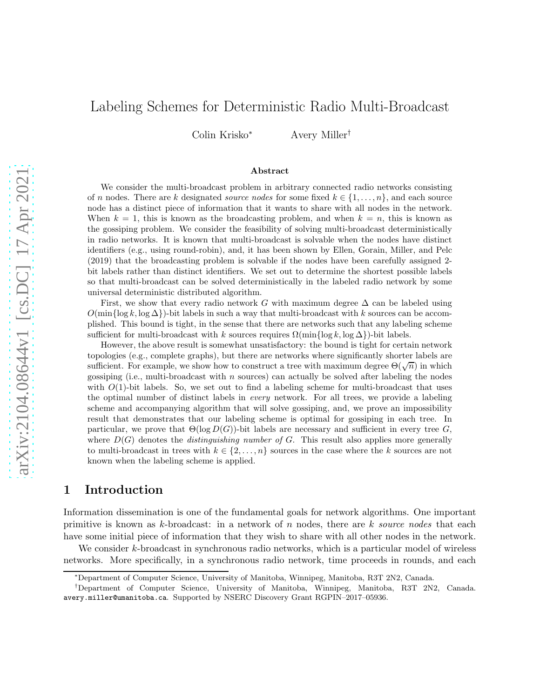# Labeling Schemes for Deterministic Radio Multi-Broadcast

Colin Krisko<sup>∗</sup> Avery Miller†

#### Abstract

We consider the multi-broadcast problem in arbitrary connected radio networks consisting of n nodes. There are k designated *source nodes* for some fixed  $k \in \{1, \ldots, n\}$ , and each source node has a distinct piece of information that it wants to share with all nodes in the network. When  $k = 1$ , this is known as the broadcasting problem, and when  $k = n$ , this is known as the gossiping problem. We consider the feasibility of solving multi-broadcast deterministically in radio networks. It is known that multi-broadcast is solvable when the nodes have distinct identifiers (e.g., using round-robin), and, it has been shown by Ellen, Gorain, Miller, and Pelc (2019) that the broadcasting problem is solvable if the nodes have been carefully assigned 2 bit labels rather than distinct identifiers. We set out to determine the shortest possible labels so that multi-broadcast can be solved deterministically in the labeled radio network by some universal deterministic distributed algorithm.

First, we show that every radio network G with maximum degree  $\Delta$  can be labeled using  $O(\min\{\log k, \log \Delta\})$ -bit labels in such a way that multi-broadcast with k sources can be accomplished. This bound is tight, in the sense that there are networks such that any labeling scheme sufficient for multi-broadcast with k sources requires  $\Omega(\min\{\log k, \log \Delta\})$ -bit labels.

However, the above result is somewhat unsatisfactory: the bound is tight for certain network topologies (e.g., complete graphs), but there are networks where significantly shorter labels are sufficient. For example, we show how to construct a tree with maximum degree  $\Theta(\sqrt{n})$  in which gossiping (i.e., multi-broadcast with  $n$  sources) can actually be solved after labeling the nodes with  $O(1)$ -bit labels. So, we set out to find a labeling scheme for multi-broadcast that uses the optimal number of distinct labels in *every* network. For all trees, we provide a labeling scheme and accompanying algorithm that will solve gossiping, and, we prove an impossibility result that demonstrates that our labeling scheme is optimal for gossiping in each tree. In particular, we prove that  $\Theta(\log D(G))$ -bit labels are necessary and sufficient in every tree G, where  $D(G)$  denotes the *distinguishing number of* G. This result also applies more generally to multi-broadcast in trees with  $k \in \{2, \ldots, n\}$  sources in the case where the k sources are not known when the labeling scheme is applied.

## 1 Introduction

Information dissemination is one of the fundamental goals for network algorithms. One important primitive is known as k-broadcast: in a network of n nodes, there are k *source nodes* that each have some initial piece of information that they wish to share with all other nodes in the network.

We consider k-broadcast in synchronous radio networks, which is a particular model of wireless networks. More specifically, in a synchronous radio network, time proceeds in rounds, and each

<sup>∗</sup>Department of Computer Science, University of Manitoba, Winnipeg, Manitoba, R3T 2N2, Canada.

<sup>†</sup>Department of Computer Science, University of Manitoba, Winnipeg, Manitoba, R3T 2N2, Canada. avery.miller@umanitoba.ca. Supported by NSERC Discovery Grant RGPIN–2017–05936.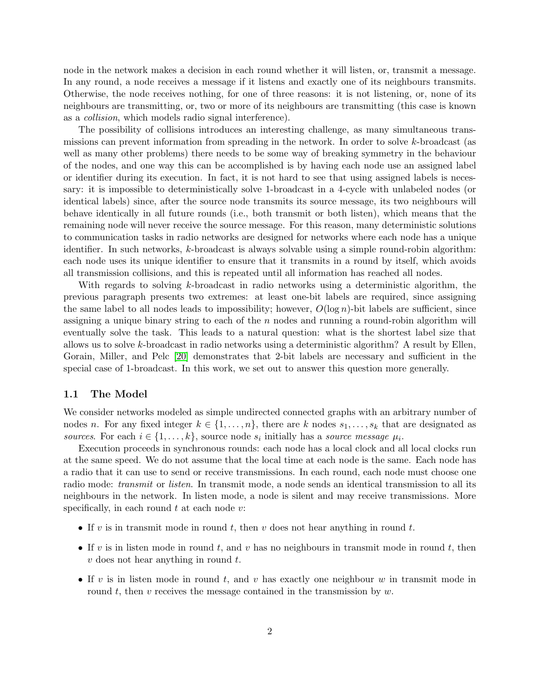node in the network makes a decision in each round whether it will listen, or, transmit a message. In any round, a node receives a message if it listens and exactly one of its neighbours transmits. Otherwise, the node receives nothing, for one of three reasons: it is not listening, or, none of its neighbours are transmitting, or, two or more of its neighbours are transmitting (this case is known as a *collision*, which models radio signal interference).

The possibility of collisions introduces an interesting challenge, as many simultaneous transmissions can prevent information from spreading in the network. In order to solve k-broadcast (as well as many other problems) there needs to be some way of breaking symmetry in the behaviour of the nodes, and one way this can be accomplished is by having each node use an assigned label or identifier during its execution. In fact, it is not hard to see that using assigned labels is necessary: it is impossible to deterministically solve 1-broadcast in a 4-cycle with unlabeled nodes (or identical labels) since, after the source node transmits its source message, its two neighbours will behave identically in all future rounds (i.e., both transmit or both listen), which means that the remaining node will never receive the source message. For this reason, many deterministic solutions to communication tasks in radio networks are designed for networks where each node has a unique identifier. In such networks, k-broadcast is always solvable using a simple round-robin algorithm: each node uses its unique identifier to ensure that it transmits in a round by itself, which avoids all transmission collisions, and this is repeated until all information has reached all nodes.

With regards to solving k-broadcast in radio networks using a deterministic algorithm, the previous paragraph presents two extremes: at least one-bit labels are required, since assigning the same label to all nodes leads to impossibility; however,  $O(\log n)$ -bit labels are sufficient, since assigning a unique binary string to each of the  $n$  nodes and running a round-robin algorithm will eventually solve the task. This leads to a natural question: what is the shortest label size that allows us to solve k-broadcast in radio networks using a deterministic algorithm? A result by Ellen, Gorain, Miller, and Pelc [\[20\]](#page-28-0) demonstrates that 2-bit labels are necessary and sufficient in the special case of 1-broadcast. In this work, we set out to answer this question more generally.

#### 1.1 The Model

We consider networks modeled as simple undirected connected graphs with an arbitrary number of nodes n. For any fixed integer  $k \in \{1, \ldots, n\}$ , there are k nodes  $s_1, \ldots, s_k$  that are designated as *sources*. For each  $i \in \{1, \ldots, k\}$ , source node  $s_i$  initially has a *source message*  $\mu_i$ .

Execution proceeds in synchronous rounds: each node has a local clock and all local clocks run at the same speed. We do not assume that the local time at each node is the same. Each node has a radio that it can use to send or receive transmissions. In each round, each node must choose one radio mode: *transmit* or *listen*. In transmit mode, a node sends an identical transmission to all its neighbours in the network. In listen mode, a node is silent and may receive transmissions. More specifically, in each round  $t$  at each node  $v$ :

- If v is in transmit mode in round t, then v does not hear anything in round t.
- If v is in listen mode in round t, and v has no neighbours in transmit mode in round t, then  $v$  does not hear anything in round  $t$ .
- If v is in listen mode in round t, and v has exactly one neighbour  $w$  in transmit mode in round t, then v receives the message contained in the transmission by  $w$ .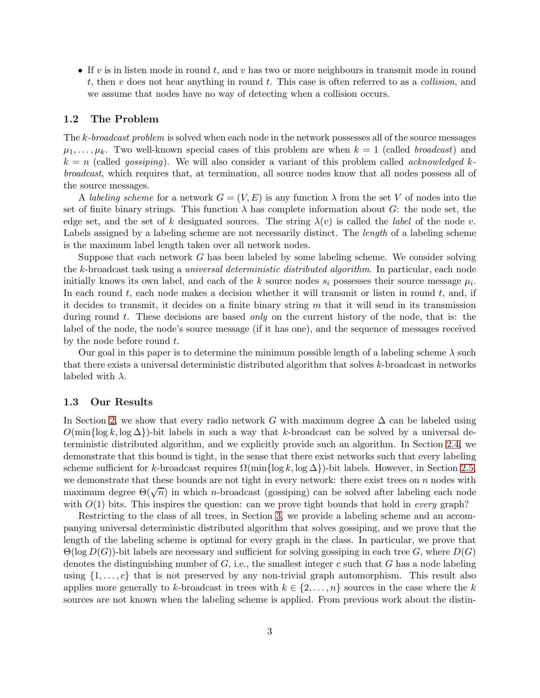• If v is in listen mode in round t, and v has two or more neighbours in transmit mode in round t, then v does not hear anything in round t. This case is often referred to as a *collision*, and we assume that nodes have no way of detecting when a collision occurs.

#### 1.2 The Problem

The k*-broadcast problem* is solved when each node in the network possesses all of the source messages  $\mu_1, \ldots, \mu_k$ . Two well-known special cases of this problem are when  $k = 1$  (called *broadcast*) and  $k = n$  (called *gossiping*). We will also consider a variant of this problem called *acknowledged* k*broadcast*, which requires that, at termination, all source nodes know that all nodes possess all of the source messages.

A *labeling scheme* for a network  $G = (V, E)$  is any function  $\lambda$  from the set V of nodes into the set of finite binary strings. This function  $\lambda$  has complete information about G: the node set, the edge set, and the set of k designated sources. The string  $\lambda(v)$  is called the *label* of the node v. Labels assigned by a labeling scheme are not necessarily distinct. The *length* of a labeling scheme is the maximum label length taken over all network nodes.

Suppose that each network G has been labeled by some labeling scheme. We consider solving the k-broadcast task using a *universal deterministic distributed algorithm*. In particular, each node initially knows its own label, and each of the k source nodes  $s_i$  possesses their source message  $\mu_i$ . In each round  $t$ , each node makes a decision whether it will transmit or listen in round  $t$ , and, if it decides to transmit, it decides on a finite binary string  $m$  that it will send in its transmission during round t. These decisions are based *only* on the current history of the node, that is: the label of the node, the node's source message (if it has one), and the sequence of messages received by the node before round  $t$ .

Our goal in this paper is to determine the minimum possible length of a labeling scheme  $\lambda$  such that there exists a universal deterministic distributed algorithm that solves k-broadcast in networks labeled with  $\lambda$ .

#### 1.3 Our Results

In Section [2,](#page-3-0) we show that every radio network G with maximum degree  $\Delta$  can be labeled using  $O(\min{\log k, \log \Delta})$ -bit labels in such a way that k-broadcast can be solved by a universal deterministic distributed algorithm, and we explicitly provide such an algorithm. In Section [2.4,](#page-7-0) we demonstrate that this bound is tight, in the sense that there exist networks such that every labeling scheme sufficient for k-broadcast requires  $\Omega(\min\{\log k, \log \Delta\})$ -bit labels. However, in Section [2.5,](#page-9-0) we demonstrate that these bounds are not tight in every network: there exist trees on  $n$  nodes with maximum degree  $\Theta(\sqrt{n})$  in which *n*-broadcast (gossiping) can be solved after labeling each node with  $O(1)$  bits. This inspires the question: can we prove tight bounds that hold in *every* graph?

Restricting to the class of all trees, in Section [3,](#page-14-0) we provide a labeling scheme and an accompanying universal deterministic distributed algorithm that solves gossiping, and we prove that the length of the labeling scheme is optimal for every graph in the class. In particular, we prove that  $\Theta(\log D(G))$ -bit labels are necessary and sufficient for solving gossiping in each tree G, where  $D(G)$ denotes the distinguishing number of  $G$ , i.e., the smallest integer c such that G has a node labeling using  $\{1, \ldots, c\}$  that is not preserved by any non-trivial graph automorphism. This result also applies more generally to k-broadcast in trees with  $k \in \{2, \ldots, n\}$  sources in the case where the k sources are not known when the labeling scheme is applied. From previous work about the distin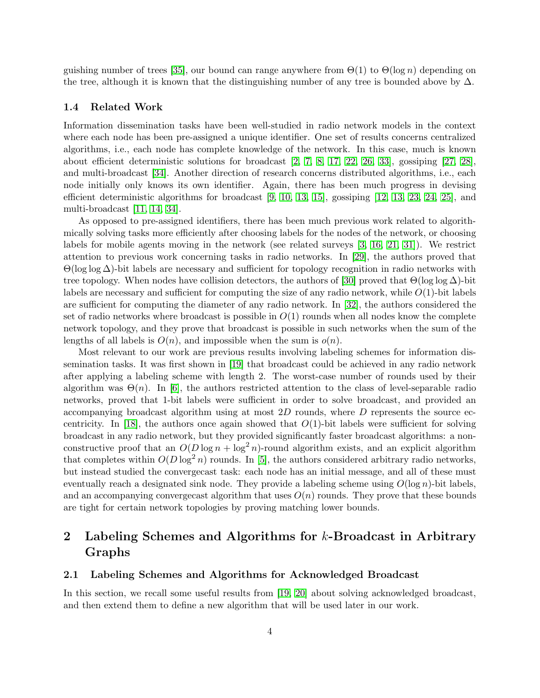guishing number of trees [\[35\]](#page-29-0), our bound can range anywhere from  $\Theta(1)$  to  $\Theta(\log n)$  depending on the tree, although it is known that the distinguishing number of any tree is bounded above by  $\Delta$ .

#### 1.4 Related Work

Information dissemination tasks have been well-studied in radio network models in the context where each node has been pre-assigned a unique identifier. One set of results concerns centralized algorithms, i.e., each node has complete knowledge of the network. In this case, much is known about efficient deterministic solutions for broadcast [\[2,](#page-26-0) [7,](#page-27-0) [8,](#page-27-1) [17,](#page-27-2) [22,](#page-28-1) [26,](#page-28-2) [33\]](#page-29-1), gossiping [\[27,](#page-28-3) [28\]](#page-28-4), and multi-broadcast [\[34\]](#page-29-2). Another direction of research concerns distributed algorithms, i.e., each node initially only knows its own identifier. Again, there has been much progress in devising efficient deterministic algorithms for broadcast [\[9,](#page-27-3) [10,](#page-27-4) [13,](#page-27-5) [15\]](#page-27-6), gossiping [\[12,](#page-27-7) [13,](#page-27-5) [23,](#page-28-5) [24,](#page-28-6) [25\]](#page-28-7), and multi-broadcast [\[11,](#page-27-8) [14,](#page-27-9) [34\]](#page-29-2).

As opposed to pre-assigned identifiers, there has been much previous work related to algorithmically solving tasks more efficiently after choosing labels for the nodes of the network, or choosing labels for mobile agents moving in the network (see related surveys [\[3,](#page-26-1) [16,](#page-27-10) [21,](#page-28-8) [31\]](#page-28-9)). We restrict attention to previous work concerning tasks in radio networks. In [\[29\]](#page-28-10), the authors proved that Θ(log log ∆)-bit labels are necessary and sufficient for topology recognition in radio networks with tree topology. When nodes have collision detectors, the authors of [\[30\]](#page-28-11) proved that  $\Theta(\log \log \Delta)$ -bit labels are necessary and sufficient for computing the size of any radio network, while  $O(1)$ -bit labels are sufficient for computing the diameter of any radio network. In [\[32\]](#page-28-12), the authors considered the set of radio networks where broadcast is possible in  $O(1)$  rounds when all nodes know the complete network topology, and they prove that broadcast is possible in such networks when the sum of the lengths of all labels is  $O(n)$ , and impossible when the sum is  $o(n)$ .

Most relevant to our work are previous results involving labeling schemes for information dissemination tasks. It was first shown in [\[19\]](#page-27-11) that broadcast could be achieved in any radio network after applying a labeling scheme with length 2. The worst-case number of rounds used by their algorithm was  $\Theta(n)$ . In [\[6\]](#page-26-2), the authors restricted attention to the class of level-separable radio networks, proved that 1-bit labels were sufficient in order to solve broadcast, and provided an accompanying broadcast algorithm using at most  $2D$  rounds, where  $D$  represents the source ec-centricity. In [\[18\]](#page-27-12), the authors once again showed that  $O(1)$ -bit labels were sufficient for solving broadcast in any radio network, but they provided significantly faster broadcast algorithms: a nonconstructive proof that an  $O(D \log n + \log^2 n)$ -round algorithm exists, and an explicit algorithm that completes within  $O(D \log^2 n)$  rounds. In [\[5\]](#page-26-3), the authors considered arbitrary radio networks, but instead studied the convergecast task: each node has an initial message, and all of these must eventually reach a designated sink node. They provide a labeling scheme using  $O(\log n)$ -bit labels, and an accompanying convergecast algorithm that uses  $O(n)$  rounds. They prove that these bounds are tight for certain network topologies by proving matching lower bounds.

# <span id="page-3-0"></span>2 Labeling Schemes and Algorithms for k-Broadcast in Arbitrary Graphs

#### <span id="page-3-1"></span>2.1 Labeling Schemes and Algorithms for Acknowledged Broadcast

In this section, we recall some useful results from [\[19,](#page-27-11) [20\]](#page-28-0) about solving acknowledged broadcast, and then extend them to define a new algorithm that will be used later in our work.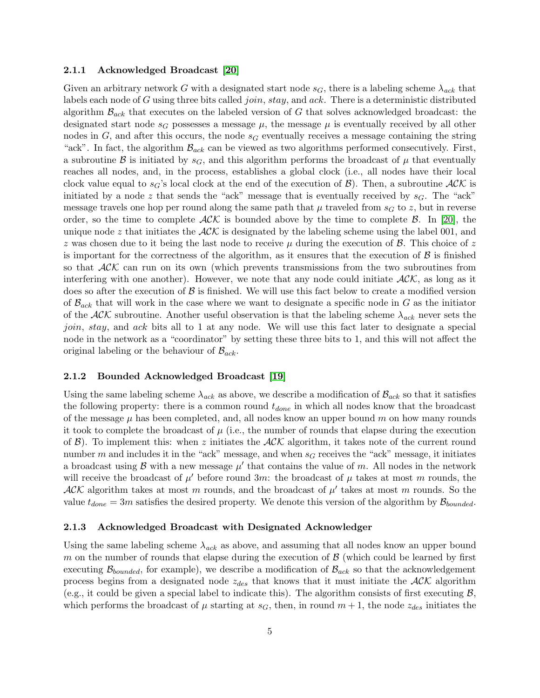#### 2.1.1 Acknowledged Broadcast [\[20\]](#page-28-0)

Given an arbitrary network G with a designated start node  $s_G$ , there is a labeling scheme  $\lambda_{ack}$  that labels each node of G using three bits called *join*,  $stay$ , and  $ack$ . There is a deterministic distributed algorithm  $\mathcal{B}_{ack}$  that executes on the labeled version of G that solves acknowledged broadcast: the designated start node  $s_G$  possesses a message  $\mu$ , the message  $\mu$  is eventually received by all other nodes in G, and after this occurs, the node  $s<sub>G</sub>$  eventually receives a message containing the string "ack". In fact, the algorithm  $\mathcal{B}_{ack}$  can be viewed as two algorithms performed consecutively. First, a subroutine B is initiated by  $s_G$ , and this algorithm performs the broadcast of  $\mu$  that eventually reaches all nodes, and, in the process, establishes a global clock (i.e., all nodes have their local clock value equal to  $s_G$ 's local clock at the end of the execution of  $\mathcal{B}$ ). Then, a subroutine  $\mathcal{ACK}$  is initiated by a node z that sends the "ack" message that is eventually received by  $s<sub>G</sub>$ . The "ack" message travels one hop per round along the same path that  $\mu$  traveled from  $s_G$  to z, but in reverse order, so the time to complete  $ACK$  is bounded above by the time to complete B. In [\[20\]](#page-28-0), the unique node z that initiates the  $ACK$  is designated by the labeling scheme using the label 001, and z was chosen due to it being the last node to receive  $\mu$  during the execution of  $\beta$ . This choice of z is important for the correctness of the algorithm, as it ensures that the execution of  $\beta$  is finished so that  $ACK$  can run on its own (which prevents transmissions from the two subroutines from interfering with one another). However, we note that any node could initiate  $ACK$ , as long as it does so after the execution of  $\beta$  is finished. We will use this fact below to create a modified version of  $\mathcal{B}_{ack}$  that will work in the case where we want to designate a specific node in G as the initiator of the  $ACK$  subroutine. Another useful observation is that the labeling scheme  $\lambda_{ack}$  never sets the join, stay, and ack bits all to 1 at any node. We will use this fact later to designate a special node in the network as a "coordinator" by setting these three bits to 1, and this will not affect the original labeling or the behaviour of  $\mathcal{B}_{ack}$ .

#### 2.1.2 Bounded Acknowledged Broadcast [\[19\]](#page-27-11)

Using the same labeling scheme  $\lambda_{ack}$  as above, we describe a modification of  $\mathcal{B}_{ack}$  so that it satisfies the following property: there is a common round  $t_{done}$  in which all nodes know that the broadcast of the message  $\mu$  has been completed, and, all nodes know an upper bound m on how many rounds it took to complete the broadcast of  $\mu$  (i.e., the number of rounds that elapse during the execution of  $\mathcal{B}$ ). To implement this: when z initiates the  $\mathcal{ACK}$  algorithm, it takes note of the current round number m and includes it in the "ack" message, and when  $s_G$  receives the "ack" message, it initiates a broadcast using  $\beta$  with a new message  $\mu'$  that contains the value of m. All nodes in the network will receive the broadcast of  $\mu'$  before round 3m: the broadcast of  $\mu$  takes at most m rounds, the  $ACK$  algorithm takes at most m rounds, and the broadcast of  $\mu'$  takes at most m rounds. So the value  $t_{done} = 3m$  satisfies the desired property. We denote this version of the algorithm by  $B_{bounded}$ .

#### 2.1.3 Acknowledged Broadcast with Designated Acknowledger

Using the same labeling scheme  $\lambda_{ack}$  as above, and assuming that all nodes know an upper bound m on the number of rounds that elapse during the execution of  $\beta$  (which could be learned by first executing  $\mathcal{B}_{bounded}$ , for example), we describe a modification of  $\mathcal{B}_{ack}$  so that the acknowledgement process begins from a designated node  $z_{des}$  that knows that it must initiate the  $ACK$  algorithm (e.g., it could be given a special label to indicate this). The algorithm consists of first executing  $\mathcal{B}$ , which performs the broadcast of  $\mu$  starting at  $s_G$ , then, in round  $m+1$ , the node  $z_{des}$  initiates the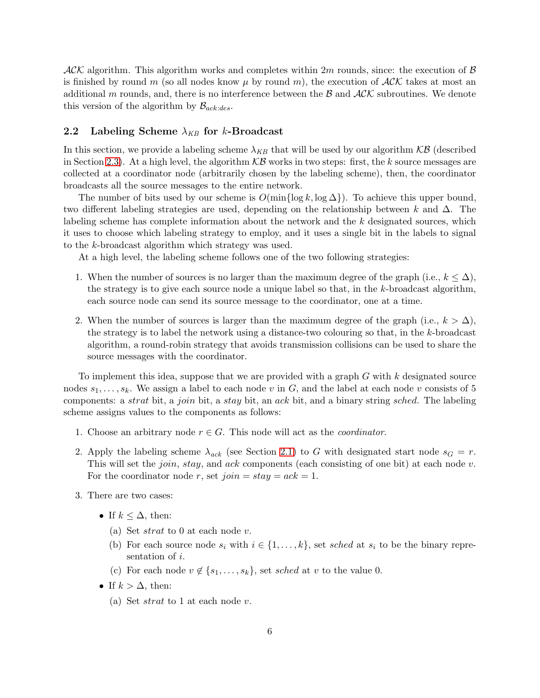$ACK$  algorithm. This algorithm works and completes within 2m rounds, since: the execution of B is finished by round m (so all nodes know  $\mu$  by round m), the execution of  $ACK$  takes at most an additional m rounds, and, there is no interference between the  $\beta$  and  $\mathcal{AK}$  subroutines. We denote this version of the algorithm by  $\mathcal{B}_{ack:des}$ .

#### <span id="page-5-0"></span>2.2 Labeling Scheme  $\lambda_{KB}$  for k-Broadcast

In this section, we provide a labeling scheme  $\lambda_{KB}$  that will be used by our algorithm  $KB$  (described in Section [2.3\)](#page-6-0). At a high level, the algorithm  $\mathcal{KB}$  works in two steps: first, the k source messages are collected at a coordinator node (arbitrarily chosen by the labeling scheme), then, the coordinator broadcasts all the source messages to the entire network.

The number of bits used by our scheme is  $O(\min\{\log k, \log \Delta\})$ . To achieve this upper bound, two different labeling strategies are used, depending on the relationship between k and  $\Delta$ . The labeling scheme has complete information about the network and the k designated sources, which it uses to choose which labeling strategy to employ, and it uses a single bit in the labels to signal to the k-broadcast algorithm which strategy was used.

At a high level, the labeling scheme follows one of the two following strategies:

- 1. When the number of sources is no larger than the maximum degree of the graph (i.e.,  $k \leq \Delta$ ), the strategy is to give each source node a unique label so that, in the  $k$ -broadcast algorithm, each source node can send its source message to the coordinator, one at a time.
- 2. When the number of sources is larger than the maximum degree of the graph (i.e.,  $k > \Delta$ ), the strategy is to label the network using a distance-two colouring so that, in the k-broadcast algorithm, a round-robin strategy that avoids transmission collisions can be used to share the source messages with the coordinator.

To implement this idea, suppose that we are provided with a graph  $G$  with  $k$  designated source nodes  $s_1, \ldots, s_k$ . We assign a label to each node v in G, and the label at each node v consists of 5 components: a strat bit, a join bit, a stay bit, an ack bit, and a binary string sched. The labeling scheme assigns values to the components as follows:

- 1. Choose an arbitrary node  $r \in G$ . This node will act as the *coordinator*.
- 2. Apply the labeling scheme  $\lambda_{ack}$  (see Section [2.1\)](#page-3-1) to G with designated start node  $s_G = r$ . This will set the *join*, *stay*, and *ack* components (each consisting of one bit) at each node  $v$ . For the coordinator node r, set  $join = stay = ack = 1$ .
- 3. There are two cases:
	- If  $k \leq \Delta$ , then:
		- (a) Set *strat* to 0 at each node v.
		- (b) For each source node  $s_i$  with  $i \in \{1, \ldots, k\}$ , set sched at  $s_i$  to be the binary representation of i.
		- (c) For each node  $v \notin \{s_1, \ldots, s_k\}$ , set sched at v to the value 0.
	- If  $k > \Delta$ , then:
		- (a) Set  $strat$  to 1 at each node v.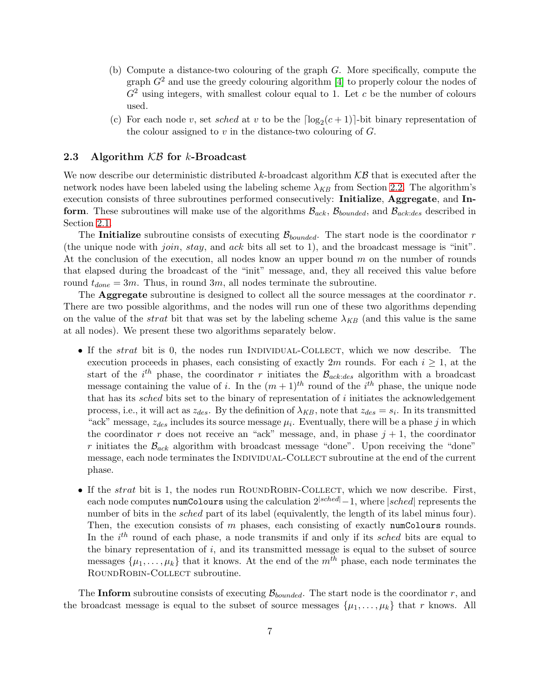- (b) Compute a distance-two colouring of the graph G. More specifically, compute the graph  $G<sup>2</sup>$  and use the greedy colouring algorithm [\[4\]](#page-26-4) to properly colour the nodes of  $G<sup>2</sup>$  using integers, with smallest colour equal to 1. Let c be the number of colours used.
- (c) For each node v, set sched at v to be the  $\lceil \log_2(c+1) \rceil$ -bit binary representation of the colour assigned to  $v$  in the distance-two colouring of  $G$ .

#### <span id="page-6-0"></span>2.3 Algorithm  $KB$  for k-Broadcast

We now describe our deterministic distributed k-broadcast algorithm  $\mathcal{KB}$  that is executed after the network nodes have been labeled using the labeling scheme  $\lambda_{KB}$  from Section [2.2.](#page-5-0) The algorithm's execution consists of three subroutines performed consecutively: Initialize, Aggregate, and Inform. These subroutines will make use of the algorithms  $\mathcal{B}_{ack}$ ,  $\mathcal{B}_{bounded}$ , and  $\mathcal{B}_{ack:des}$  described in Section [2.1.](#page-3-1)

The Initialize subroutine consists of executing  $\mathcal{B}_{bounded}$ . The start node is the coordinator r (the unique node with *join*, *stay*, and *ack* bits all set to 1), and the broadcast message is "init". At the conclusion of the execution, all nodes know an upper bound  $m$  on the number of rounds that elapsed during the broadcast of the "init" message, and, they all received this value before round  $t_{done} = 3m$ . Thus, in round  $3m$ , all nodes terminate the subroutine.

The **Aggregate** subroutine is designed to collect all the source messages at the coordinator  $r$ . There are two possible algorithms, and the nodes will run one of these two algorithms depending on the value of the *strat* bit that was set by the labeling scheme  $\lambda_{KB}$  (and this value is the same at all nodes). We present these two algorithms separately below.

- If the *strat* bit is 0, the nodes run INDIVIDUAL-COLLECT, which we now describe. The execution proceeds in phases, each consisting of exactly 2m rounds. For each  $i \geq 1$ , at the start of the  $i^{th}$  phase, the coordinator r initiates the  $\mathcal{B}_{ack:des}$  algorithm with a broadcast message containing the value of i. In the  $(m+1)^{th}$  round of the i<sup>th</sup> phase, the unique node that has its sched bits set to the binary of representation of i initiates the acknowledgement process, i.e., it will act as  $z_{des}$ . By the definition of  $\lambda_{KB}$ , note that  $z_{des} = s_i$ . In its transmitted "ack" message,  $z_{des}$  includes its source message  $\mu_i$ . Eventually, there will be a phase j in which the coordinator r does not receive an "ack" message, and, in phase  $j + 1$ , the coordinator r initiates the  $\mathcal{B}_{ack}$  algorithm with broadcast message "done". Upon receiving the "done" message, each node terminates the INDIVIDUAL-COLLECT subroutine at the end of the current phase.
- If the *strat* bit is 1, the nodes run ROUNDROBIN-COLLECT, which we now describe. First, each node computes numColours using the calculation  $2^{|sched|}-1$ , where  $|sched|$  represents the number of bits in the *sched* part of its label (equivalently, the length of its label minus four). Then, the execution consists of  $m$  phases, each consisting of exactly numColours rounds. In the  $i<sup>th</sup>$  round of each phase, a node transmits if and only if its sched bits are equal to the binary representation of  $i$ , and its transmitted message is equal to the subset of source messages  $\{\mu_1, \ldots, \mu_k\}$  that it knows. At the end of the  $m^{th}$  phase, each node terminates the ROUNDROBIN-COLLECT subroutine.

The Inform subroutine consists of executing  $\mathcal{B}_{bounded}$ . The start node is the coordinator r, and the broadcast message is equal to the subset of source messages  $\{\mu_1, \ldots, \mu_k\}$  that r knows. All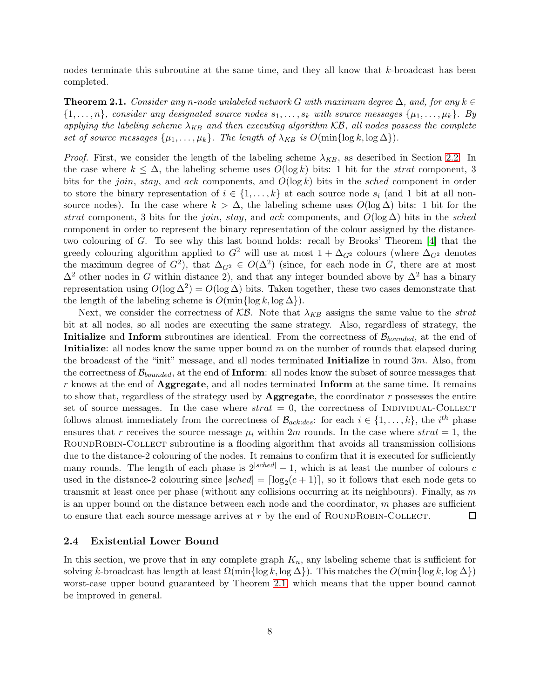nodes terminate this subroutine at the same time, and they all know that k-broadcast has been completed.

<span id="page-7-1"></span>**Theorem 2.1.** *Consider any n*-node unlabeled network G with maximum degree  $\Delta$ , and, for any  $k \in \mathbb{Z}$  $\{1, \ldots, n\}$ , consider any designated source nodes  $s_1, \ldots, s_k$  with source messages  $\{\mu_1, \ldots, \mu_k\}$ . By *applying the labeling scheme*  $\lambda_{KB}$  *and then executing algorithm*  $KB$ *, all nodes possess the complete set of source messages*  $\{\mu_1, \ldots, \mu_k\}$ *. The length of*  $\lambda_{KB}$  *is*  $O(\min\{\log k, \log \Delta\})$ *.* 

*Proof.* First, we consider the length of the labeling scheme  $\lambda_{KB}$ , as described in Section [2.2.](#page-5-0) In the case where  $k \leq \Delta$ , the labeling scheme uses  $O(\log k)$  bits: 1 bit for the *strat* component, 3 bits for the *join*, *stay*, and *ack* components, and  $O(\log k)$  bits in the *sched* component in order to store the binary representation of  $i \in \{1, \ldots, k\}$  at each source node  $s_i$  (and 1 bit at all nonsource nodes). In the case where  $k > \Delta$ , the labeling scheme uses  $O(\log \Delta)$  bits: 1 bit for the strat component, 3 bits for the join, stay, and ack components, and  $O(\log \Delta)$  bits in the sched component in order to represent the binary representation of the colour assigned by the distancetwo colouring of G. To see why this last bound holds: recall by Brooks' Theorem [\[4\]](#page-26-4) that the greedy colouring algorithm applied to  $G^2$  will use at most  $1 + \Delta_{G^2}$  colours (where  $\Delta_{G^2}$  denotes the maximum degree of  $G^2$ ), that  $\Delta_{G^2} \in O(\Delta^2)$  (since, for each node in G, there are at most  $\Delta^2$  other nodes in G within distance 2), and that any integer bounded above by  $\Delta^2$  has a binary representation using  $O(\log \Delta^2) = O(\log \Delta)$  bits. Taken together, these two cases demonstrate that the length of the labeling scheme is  $O(\min\{\log k, \log \Delta\})$ .

Next, we consider the correctness of  $KB$ . Note that  $\lambda_{KB}$  assigns the same value to the *strat* bit at all nodes, so all nodes are executing the same strategy. Also, regardless of strategy, the **Initialize** and **Inform** subroutines are identical. From the correctness of  $\mathcal{B}_{bounded}$ , at the end of **Initialize:** all nodes know the same upper bound  $m$  on the number of rounds that elapsed during the broadcast of the "init" message, and all nodes terminated Initialize in round 3m. Also, from the correctness of  $\mathcal{B}_{bounded}$ , at the end of **Inform**: all nodes know the subset of source messages that  $r$  knows at the end of **Aggregate**, and all nodes terminated **Inform** at the same time. It remains to show that, regardless of the strategy used by **Aggregate**, the coordinator  $r$  possesses the entire set of source messages. In the case where  $strat = 0$ , the correctness of INDIVIDUAL-COLLECT follows almost immediately from the correctness of  $\mathcal{B}_{ack:des}$ : for each  $i \in \{1, \ldots, k\}$ , the  $i^{th}$  phase ensures that r receives the source message  $\mu_i$  within 2m rounds. In the case where  $strat = 1$ , the ROUNDROBIN-COLLECT subroutine is a flooding algorithm that avoids all transmission collisions due to the distance-2 colouring of the nodes. It remains to confirm that it is executed for sufficiently many rounds. The length of each phase is  $2^{|sched|} - 1$ , which is at least the number of colours c used in the distance-2 colouring since  $|sched| = \lceil \log_2(c+1) \rceil$ , so it follows that each node gets to transmit at least once per phase (without any collisions occurring at its neighbours). Finally, as  $m$ is an upper bound on the distance between each node and the coordinator,  $m$  phases are sufficient to ensure that each source message arrives at  $r$  by the end of ROUNDROBIN-COLLECT.  $\Box$ 

#### <span id="page-7-0"></span>2.4 Existential Lower Bound

In this section, we prove that in any complete graph  $K_n$ , any labeling scheme that is sufficient for solving k-broadcast has length at least  $\Omega(\min\{\log k, \log \Delta\})$ . This matches the  $O(\min\{\log k, \log \Delta\})$ worst-case upper bound guaranteed by Theorem [2.1,](#page-7-1) which means that the upper bound cannot be improved in general.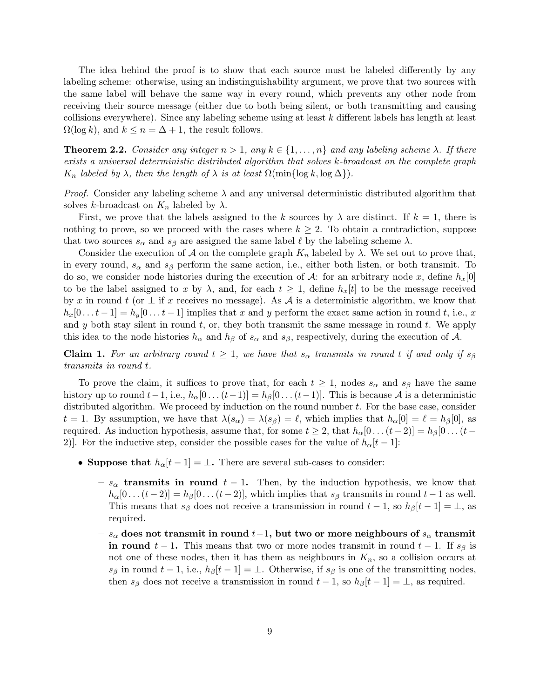The idea behind the proof is to show that each source must be labeled differently by any labeling scheme: otherwise, using an indistinguishability argument, we prove that two sources with the same label will behave the same way in every round, which prevents any other node from receiving their source message (either due to both being silent, or both transmitting and causing collisions everywhere). Since any labeling scheme using at least k different labels has length at least  $\Omega(\log k)$ , and  $k \leq n = \Delta + 1$ , the result follows.

<span id="page-8-0"></span>**Theorem 2.2.** *Consider any integer*  $n > 1$ *, any*  $k \in \{1, ..., n\}$  *and any labeling scheme*  $\lambda$ *. If there exists a universal deterministic distributed algorithm that solves* k*-broadcast on the complete graph*  $K_n$  *labeled by*  $\lambda$ *, then the length of*  $\lambda$  *is at least*  $\Omega(\min\{\log k, \log \Delta\})$ *.* 

*Proof.* Consider any labeling scheme  $\lambda$  and any universal deterministic distributed algorithm that solves k-broadcast on  $K_n$  labeled by  $\lambda$ .

First, we prove that the labels assigned to the k sources by  $\lambda$  are distinct. If  $k = 1$ , there is nothing to prove, so we proceed with the cases where  $k \geq 2$ . To obtain a contradiction, suppose that two sources  $s_{\alpha}$  and  $s_{\beta}$  are assigned the same label  $\ell$  by the labeling scheme  $\lambda$ .

Consider the execution of A on the complete graph  $K_n$  labeled by  $\lambda$ . We set out to prove that, in every round,  $s_{\alpha}$  and  $s_{\beta}$  perform the same action, i.e., either both listen, or both transmit. To do so, we consider node histories during the execution of  $\mathcal{A}$ : for an arbitrary node x, define  $h_x[0]$ to be the label assigned to x by  $\lambda$ , and, for each  $t \geq 1$ , define  $h_x[t]$  to be the message received by x in round t (or  $\perp$  if x receives no message). As A is a deterministic algorithm, we know that  $h_x[0 \dots t-1] = h_y[0 \dots t-1]$  implies that x and y perform the exact same action in round t, i.e., x and  $y$  both stay silent in round  $t$ , or, they both transmit the same message in round  $t$ . We apply this idea to the node histories  $h_{\alpha}$  and  $h_{\beta}$  of  $s_{\alpha}$  and  $s_{\beta}$ , respectively, during the execution of A.

**Claim 1.** For an arbitrary round  $t \geq 1$ , we have that  $s_{\alpha}$  transmits in round t if and only if  $s_{\beta}$ *transmits in round* t*.*

To prove the claim, it suffices to prove that, for each  $t \geq 1$ , nodes  $s_{\alpha}$  and  $s_{\beta}$  have the same history up to round  $t-1$ , i.e.,  $h_{\alpha}[0 \dots (t-1)] = h_{\beta}[0 \dots (t-1)]$ . This is because A is a deterministic distributed algorithm. We proceed by induction on the round number  $t$ . For the base case, consider  $t = 1$ . By assumption, we have that  $\lambda(s_\alpha) = \lambda(s_\beta) = \ell$ , which implies that  $h_\alpha[0] = \ell = h_\beta[0]$ , as required. As induction hypothesis, assume that, for some  $t \geq 2$ , that  $h_{\alpha}[0 \dots (t-2)] = h_{\beta}[0 \dots (t-2)]$ 2)]. For the inductive step, consider the possible cases for the value of  $h_{\alpha}[t-1]$ :

- Suppose that  $h_{\alpha}[t-1] = \perp$ . There are several sub-cases to consider:
	- $-s_{\alpha}$  transmits in round  $t-1$ . Then, by the induction hypothesis, we know that  $h_{\alpha}[0 \dots (t-2)] = h_{\beta}[0 \dots (t-2)]$ , which implies that  $s_{\beta}$  transmits in round  $t-1$  as well. This means that  $s_{\beta}$  does not receive a transmission in round  $t-1$ , so  $h_{\beta}[t-1]=\perp$ , as required.
	- $s_{\alpha}$  does not transmit in round  $t-1,$  but two or more neighbours of  $s_{\alpha}$  transmit in round  $t-1$ . This means that two or more nodes transmit in round  $t-1$ . If  $s_{\beta}$  is not one of these nodes, then it has them as neighbours in  $K_n$ , so a collision occurs at  $s_{\beta}$  in round  $t-1$ , i.e.,  $h_{\beta}[t-1]=\bot$ . Otherwise, if  $s_{\beta}$  is one of the transmitting nodes, then  $s_{\beta}$  does not receive a transmission in round  $t - 1$ , so  $h_{\beta}[t - 1] = \bot$ , as required.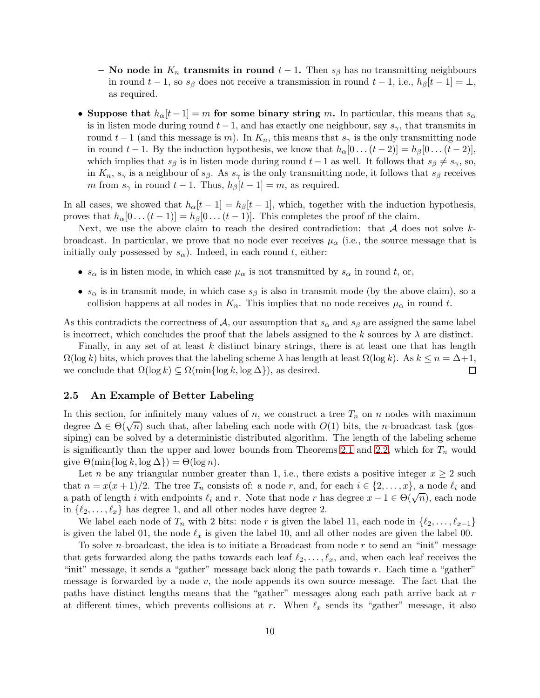- No node in  $K_n$  transmits in round  $t-1$ . Then  $s_\beta$  has no transmitting neighbours in round  $t-1$ , so  $s_{\beta}$  does not receive a transmission in round  $t-1$ , i.e.,  $h_{\beta}[t-1]=\perp$ , as required.
- Suppose that  $h_{\alpha}[t-1] = m$  for some binary string m. In particular, this means that  $s_{\alpha}$ is in listen mode during round  $t - 1$ , and has exactly one neighbour, say  $s_{\gamma}$ , that transmits in round  $t-1$  (and this message is m). In  $K_n$ , this means that  $s_\gamma$  is the only transmitting node in round  $t-1$ . By the induction hypothesis, we know that  $h_{\alpha}[0 \dots (t-2)] = h_{\beta}[0 \dots (t-2)],$ which implies that  $s_\beta$  is in listen mode during round  $t-1$  as well. It follows that  $s_\beta \neq s_\gamma$ , so, in  $K_n$ ,  $s_\gamma$  is a neighbour of  $s_\beta$ . As  $s_\gamma$  is the only transmitting node, it follows that  $s_\beta$  receives m from  $s_\gamma$  in round  $t-1$ . Thus,  $h_\beta[t-1] = m$ , as required.

In all cases, we showed that  $h_{\alpha}[t-1] = h_{\beta}[t-1]$ , which, together with the induction hypothesis, proves that  $h_{\alpha}[0 \dots (t-1)] = h_{\beta}[0 \dots (t-1)]$ . This completes the proof of the claim.

Next, we use the above claim to reach the desired contradiction: that  $A$  does not solve  $k$ broadcast. In particular, we prove that no node ever receives  $\mu_{\alpha}$  (i.e., the source message that is initially only possessed by  $s_{\alpha}$ ). Indeed, in each round t, either:

- $s_{\alpha}$  is in listen mode, in which case  $\mu_{\alpha}$  is not transmitted by  $s_{\alpha}$  in round t, or,
- $s_{\alpha}$  is in transmit mode, in which case  $s_{\beta}$  is also in transmit mode (by the above claim), so a collision happens at all nodes in  $K_n$ . This implies that no node receives  $\mu_\alpha$  in round t.

As this contradicts the correctness of A, our assumption that  $s_{\alpha}$  and  $s_{\beta}$  are assigned the same label is incorrect, which concludes the proof that the labels assigned to the k sources by  $\lambda$  are distinct.

Finally, in any set of at least  $k$  distinct binary strings, there is at least one that has length  $Ω(log k)$  bits, which proves that the labeling scheme  $λ$  has length at least  $Ω(log k)$ . As  $k ≤ n = Δ+1$ , we conclude that  $Ω(log k) ⊂ Ω(min{log k, log Δ})$ , as desired. we conclude that  $\Omega(\log k) \subseteq \Omega(\min\{\log k, \log \Delta\})$ , as desired.

#### <span id="page-9-0"></span>2.5 An Example of Better Labeling

In this section, for infinitely many values of n, we construct a tree  $T_n$  on n nodes with maximum degree  $\Delta \in \Theta(\sqrt{n})$  such that, after labeling each node with  $O(1)$  bits, the *n*-broadcast task (gossiping) can be solved by a deterministic distributed algorithm. The length of the labeling scheme is significantly than the upper and lower bounds from Theorems [2.1](#page-7-1) and [2.2,](#page-8-0) which for  $T_n$  would give  $\Theta(\min\{\log k, \log \Delta\}) = \Theta(\log n)$ .

Let n be any triangular number greater than 1, i.e., there exists a positive integer  $x \geq 2$  such that  $n = x(x + 1)/2$ . The tree  $T_n$  consists of: a node r, and, for each  $i \in \{2, ..., x\}$ , a node  $\ell_i$  and a path of length i with endpoints  $\ell_i$  and r. Note that node r has degree  $x - 1 \in \Theta(\sqrt{n})$ , each node in  $\{\ell_2, \ldots, \ell_x\}$  has degree 1, and all other nodes have degree 2.

We label each node of  $T_n$  with 2 bits: node r is given the label 11, each node in  $\{\ell_2,\ldots,\ell_{x-1}\}$ is given the label 01, the node  $\ell_x$  is given the label 10, and all other nodes are given the label 00.

To solve *n*-broadcast, the idea is to initiate a Broadcast from node  $r$  to send an "init" message that gets forwarded along the paths towards each leaf  $\ell_2, \ldots, \ell_x$ , and, when each leaf receives the "init" message, it sends a "gather" message back along the path towards  $r$ . Each time a "gather" message is forwarded by a node  $v$ , the node appends its own source message. The fact that the paths have distinct lengths means that the "gather" messages along each path arrive back at r at different times, which prevents collisions at r. When  $\ell_x$  sends its "gather" message, it also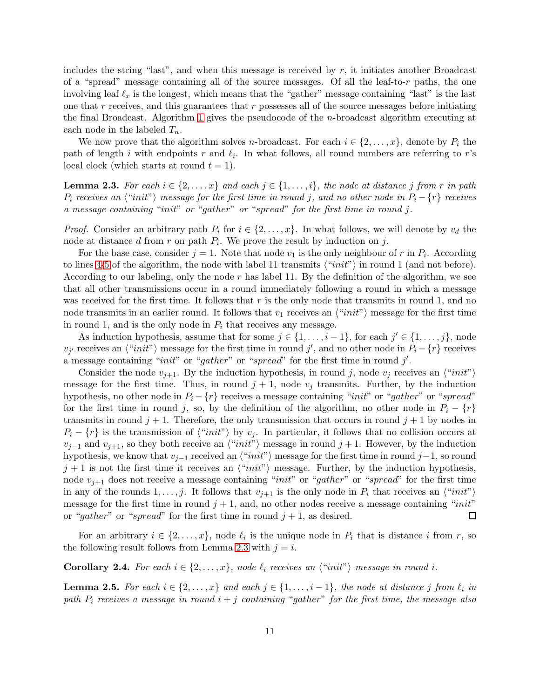includes the string "last", and when this message is received by  $r$ , it initiates another Broadcast of a "spread" message containing all of the source messages. Of all the leaf-to-r paths, the one involving leaf  $\ell_x$  is the longest, which means that the "gather" message containing "last" is the last one that  $r$  receives, and this guarantees that  $r$  possesses all of the source messages before initiating the final Broadcast. Algorithm [1](#page-13-0) gives the pseudocode of the n-broadcast algorithm executing at each node in the labeled  $T_n$ .

We now prove that the algorithm solves *n*-broadcast. For each  $i \in \{2, \ldots, x\}$ , denote by  $P_i$  the path of length i with endpoints r and  $\ell_i$ . In what follows, all round numbers are referring to r's local clock (which starts at round  $t = 1$ ).

<span id="page-10-0"></span>**Lemma 2.3.** For each  $i \in \{2, \ldots, x\}$  and each  $j \in \{1, \ldots, i\}$ , the node at distance j from r in path  $P_i$  *receives an*  $\langle$ "*init*" $\rangle$  *message for the first time in round* j*, and no other node in*  $P_i - \{r\}$  *receives a message containing* "init" *or* "gather" *or* "spread" *for the first time in round* j*.*

*Proof.* Consider an arbitrary path  $P_i$  for  $i \in \{2, ..., x\}$ . In what follows, we will denote by  $v_d$  the node at distance  $d$  from  $r$  on path  $P_i$ . We prove the result by induction on  $j$ .

For the base case, consider  $j = 1$ . Note that node  $v_1$  is the only neighbour of r in  $P_i$ . According to lines [4-5](#page-13-0) of the algorithm, the node with label 11 transmits  $\langle "init"\rangle$  in round 1 (and not before). According to our labeling, only the node r has label 11. By the definition of the algorithm, we see that all other transmissions occur in a round immediately following a round in which a message was received for the first time. It follows that  $r$  is the only node that transmits in round 1, and no node transmits in an earlier round. It follows that  $v_1$  receives an  $\langle "init"\rangle$  message for the first time in round 1, and is the only node in  $P_i$  that receives any message.

As induction hypothesis, assume that for some  $j \in \{1, \ldots, i-1\}$ , for each  $j' \in \{1, \ldots, j\}$ , node  $v_{j'}$  receives an  $\langle "init"\rangle$  message for the first time in round j', and no other node in  $P_i - \{r\}$  receives a message containing "*init*" or "gather" or "spread" for the first time in round  $j'$ .

Consider the node  $v_{j+1}$ . By the induction hypothesis, in round j, node  $v_j$  receives an  $\langle "init"\rangle$ message for the first time. Thus, in round  $j + 1$ , node  $v_j$  transmits. Further, by the induction hypothesis, no other node in  $P_i - \{r\}$  receives a message containing "*init*" or "*gather*" or "*spread*" for the first time in round j, so, by the definition of the algorithm, no other node in  $P_i - \{r\}$ transmits in round  $j + 1$ . Therefore, the only transmission that occurs in round  $j + 1$  by nodes in  $P_i - \{r\}$  is the transmission of  $\langle "init"\rangle$  by  $v_j$ . In particular, it follows that no collision occurs at  $v_{j-1}$  and  $v_{j+1}$ , so they both receive an  $\langle "init"\rangle$  message in round  $j+1$ . However, by the induction hypothesis, we know that  $v_{i-1}$  received an  $\langle "init"\rangle$  message for the first time in round j–1, so round  $j+1$  is not the first time it receives an  $\langle "init"\rangle$  message. Further, by the induction hypothesis, node  $v_{i+1}$  does not receive a message containing "*init*" or "*gather*" or "*spread*" for the first time in any of the rounds  $1, \ldots, j$ . It follows that  $v_{j+1}$  is the only node in  $P_i$  that receives an  $\langle "init"\rangle$ message for the first time in round  $j + 1$ , and, no other nodes receive a message containing "init" or "gather" or "spread" for the first time in round  $j + 1$ , as desired.  $\Box$ 

For an arbitrary  $i \in \{2, \ldots, x\}$ , node  $\ell_i$  is the unique node in  $P_i$  that is distance i from r, so the following result follows from Lemma [2.3](#page-10-0) with  $j = i$ .

**Corollary 2.4.** For each  $i \in \{2, ..., x\}$ , node  $\ell_i$  receives an  $\langle "init"\rangle$  message in round i.

<span id="page-10-1"></span>**Lemma 2.5.** *For each*  $i \in \{2, ..., x\}$  *and each*  $j \in \{1, ..., i-1\}$ , the node at distance j from  $\ell_i$  *in path*  $P_i$  *receives a message in round*  $i + j$  *containing* "*gather*" *for the first time, the message also*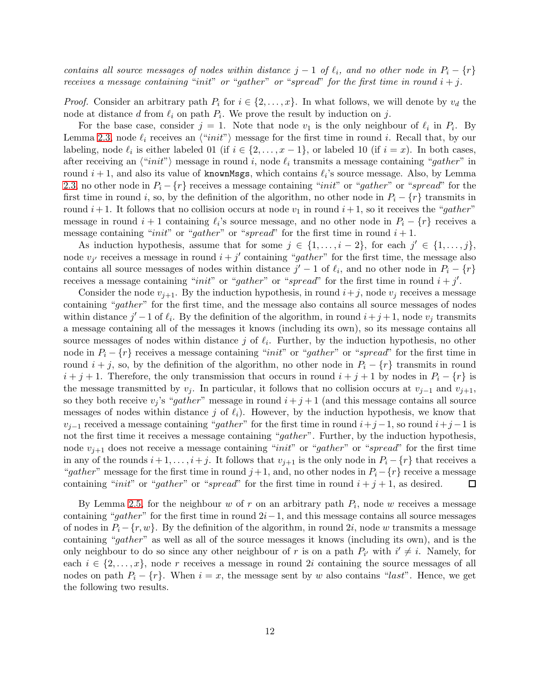*contains all source messages of nodes within distance*  $j - 1$  *of*  $\ell_i$ *, and no other node in*  $P_i - \{r\}$ *receives a message containing* "*init" or* "*gather*" *or* "*spread*" *for the first time in round*  $i + j$ .

*Proof.* Consider an arbitrary path  $P_i$  for  $i \in \{2, ..., x\}$ . In what follows, we will denote by  $v_d$  the node at distance d from  $\ell_i$  on path  $P_i$ . We prove the result by induction on j.

For the base case, consider  $j = 1$ . Note that node  $v_1$  is the only neighbour of  $\ell_i$  in  $P_i$ . By Lemma [2.3,](#page-10-0) node  $\ell_i$  receives an  $\langle "init" \rangle$  message for the first time in round i. Recall that, by our labeling, node  $\ell_i$  is either labeled 01 (if  $i \in \{2, \ldots, x-1\}$ , or labeled 10 (if  $i = x$ ). In both cases, after receiving an  $\langle "init"\rangle$  message in round i, node  $\ell_i$  transmits a message containing "gather" in round  $i+1$ , and also its value of knownMsgs, which contains  $\ell_i$ 's source message. Also, by Lemma [2.3,](#page-10-0) no other node in  $P_i - \{r\}$  receives a message containing "*init*" or "*gather*" or "*spread*" for the first time in round i, so, by the definition of the algorithm, no other node in  $P_i - \{r\}$  transmits in round  $i+1$ . It follows that no collision occurs at node  $v_1$  in round  $i+1$ , so it receives the "gather" message in round  $i + 1$  containing  $\ell_i$ 's source message, and no other node in  $P_i - \{r\}$  receives a message containing "init" or "gather" or "spread" for the first time in round  $i + 1$ .

As induction hypothesis, assume that for some  $j \in \{1, \ldots, i-2\}$ , for each  $j' \in \{1, \ldots, j\}$ , node  $v_{j'}$  receives a message in round  $i + j'$  containing "gather" for the first time, the message also contains all source messages of nodes within distance  $j' - 1$  of  $\ell_i$ , and no other node in  $P_i - \{r\}$ receives a message containing "*init*" or "*gather*" or "*spread*" for the first time in round  $i + j'$ .

Consider the node  $v_{j+1}$ . By the induction hypothesis, in round  $i+j$ , node  $v_j$  receives a message containing "gather" for the first time, and the message also contains all source messages of nodes within distance  $j' - 1$  of  $\ell_i$ . By the definition of the algorithm, in round  $i + j + 1$ , node  $v_j$  transmits a message containing all of the messages it knows (including its own), so its message contains all source messages of nodes within distance  $j$  of  $\ell_i$ . Further, by the induction hypothesis, no other node in  $P_i - \{r\}$  receives a message containing "*init*" or "gather" or "spread" for the first time in round  $i + j$ , so, by the definition of the algorithm, no other node in  $P_i - \{r\}$  transmits in round  $i + j + 1$ . Therefore, the only transmission that occurs in round  $i + j + 1$  by nodes in  $P_i - \{r\}$  is the message transmitted by  $v_j$ . In particular, it follows that no collision occurs at  $v_{j-1}$  and  $v_{j+1}$ , so they both receive  $v_j$ 's "gather" message in round  $i + j + 1$  (and this message contains all source messages of nodes within distance j of  $\ell_i$ ). However, by the induction hypothesis, we know that  $v_{i-1}$  received a message containing "gather" for the first time in round  $i+j-1$ , so round  $i+j-1$  is not the first time it receives a message containing "gather". Further, by the induction hypothesis, node  $v_{i+1}$  does not receive a message containing "*init*" or "*gather*" or "*spread*" for the first time in any of the rounds  $i+1, \ldots, i+j$ . It follows that  $v_{j+1}$  is the only node in  $P_i - \{r\}$  that receives a "gather" message for the first time in round j+1, and, no other nodes in  $P_i - \{r\}$  receive a message containing "*init*" or "*qather*" or "*spread*" for the first time in round  $i + j + 1$ , as desired.  $\Box$ containing "init" or "gather" or "spread" for the first time in round  $i + j + 1$ , as desired.

By Lemma [2.5,](#page-10-1) for the neighbour  $w$  of  $r$  on an arbitrary path  $P_i$ , node  $w$  receives a message containing "gather" for the first time in round  $2i-1$ , and this message contains all source messages of nodes in  $P_i - \{r, w\}$ . By the definition of the algorithm, in round 2i, node w transmits a message containing "gather" as well as all of the source messages it knows (including its own), and is the only neighbour to do so since any other neighbour of r is on a path  $P_{i'}$  with  $i' \neq i$ . Namely, for each  $i \in \{2, \ldots, x\}$ , node r receives a message in round 2i containing the source messages of all nodes on path  $P_i - \{r\}$ . When  $i = x$ , the message sent by w also contains "last". Hence, we get the following two results.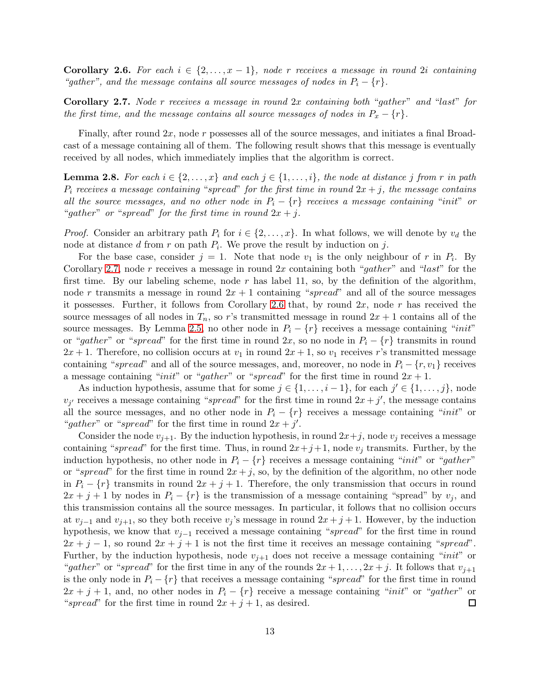<span id="page-12-1"></span>**Corollary 2.6.** For each  $i \in \{2, \ldots, x-1\}$ , node r receives a message in round 2i containing *"gather", and the message contains all source messages of nodes in*  $P_i - \{r\}$ .

<span id="page-12-0"></span>Corollary 2.7. *Node* r *receives a message in round* 2x *containing both* "gather" *and* "last" *for the first time, and the message contains all source messages of nodes in*  $P_x - \{r\}$ *.* 

Finally, after round  $2x$ , node r possesses all of the source messages, and initiates a final Broadcast of a message containing all of them. The following result shows that this message is eventually received by all nodes, which immediately implies that the algorithm is correct.

**Lemma 2.8.** For each  $i \in \{2, ..., x\}$  and each  $j \in \{1, ..., i\}$ , the node at distance j from r in path  $P_i$  *receives a message containing* "spread" for the first time in round  $2x + j$ , the message contains *all the source messages, and no other node in*  $P_i - \{r\}$  *receives a message containing* "*init*" *or* "gather" or "spread" for the first time in round  $2x + j$ .

*Proof.* Consider an arbitrary path  $P_i$  for  $i \in \{2, ..., x\}$ . In what follows, we will denote by  $v_d$  the node at distance  $d$  from  $r$  on path  $P_i$ . We prove the result by induction on  $j$ .

For the base case, consider  $j = 1$ . Note that node  $v_1$  is the only neighbour of r in  $P_i$ . By Corollary [2.7,](#page-12-0) node r receives a message in round  $2x$  containing both "gather" and "last" for the first time. By our labeling scheme, node r has label 11, so, by the definition of the algorithm, node r transmits a message in round  $2x + 1$  containing "spread" and all of the source messages it possesses. Further, it follows from Corollary [2.6](#page-12-1) that, by round  $2x$ , node r has received the source messages of all nodes in  $T_n$ , so r's transmitted message in round  $2x + 1$  contains all of the source messages. By Lemma [2.5,](#page-10-1) no other node in  $P_i - \{r\}$  receives a message containing "init" or "gather" or "spread" for the first time in round 2x, so no node in  $P_i - \{r\}$  transmits in round  $2x + 1$ . Therefore, no collision occurs at  $v_1$  in round  $2x + 1$ , so  $v_1$  receives r's transmitted message containing "spread" and all of the source messages, and, moreover, no node in  $P_i - \{r, v_1\}$  receives a message containing "init" or "gather" or "spread" for the first time in round  $2x + 1$ .

As induction hypothesis, assume that for some  $j \in \{1, \ldots, i-1\}$ , for each  $j' \in \{1, \ldots, j\}$ , node  $v_{j'}$  receives a message containing "spread" for the first time in round  $2x + j'$ , the message contains all the source messages, and no other node in  $P_i - \{r\}$  receives a message containing "init" or "gather" or "spread" for the first time in round  $2x + j'$ .

Consider the node  $v_{i+1}$ . By the induction hypothesis, in round  $2x+j$ , node  $v_j$  receives a message containing "spread" for the first time. Thus, in round  $2x+j+1$ , node  $v_j$  transmits. Further, by the induction hypothesis, no other node in  $P_i - \{r\}$  receives a message containing "*init*" or "*gather*" or "spread" for the first time in round  $2x + j$ , so, by the definition of the algorithm, no other node in  $P_i - \{r\}$  transmits in round  $2x + j + 1$ . Therefore, the only transmission that occurs in round  $2x + j + 1$  by nodes in  $P_i - \{r\}$  is the transmission of a message containing "spread" by  $v_j$ , and this transmission contains all the source messages. In particular, it follows that no collision occurs at  $v_{j-1}$  and  $v_{j+1}$ , so they both receive  $v_j$ 's message in round  $2x + j + 1$ . However, by the induction hypothesis, we know that  $v_{j-1}$  received a message containing "spread" for the first time in round  $2x + j - 1$ , so round  $2x + j + 1$  is not the first time it receives an message containing "spread". Further, by the induction hypothesis, node  $v_{j+1}$  does not receive a message containing "*init*" or "gather" or "spread" for the first time in any of the rounds  $2x + 1, \ldots, 2x + j$ . It follows that  $v_{i+1}$ is the only node in  $P_i - \{r\}$  that receives a message containing "spread" for the first time in round  $2x + j + 1$ , and, no other nodes in  $P_i - \{r\}$  receive a message containing "*init*" or "*gather*" or "*spread*" for the first time in round  $2x + j + 1$ , as desired. "spread" for the first time in round  $2x + j + 1$ , as desired.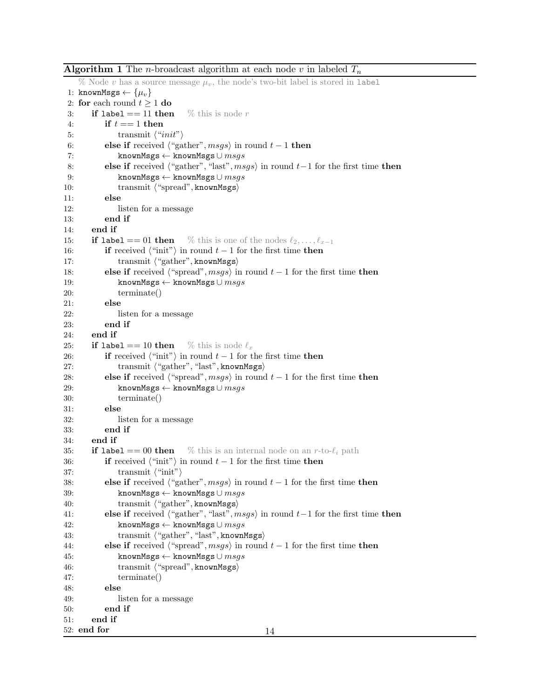<span id="page-13-0"></span>**Algorithm 1** The *n*-broadcast algorithm at each node v in labeled  $T_n$ % Node v has a source message  $\mu_v$ , the node's two-bit label is stored in label 1: knownMsgs  $\leftarrow {\{\mu_v\}}$ 2: for each round  $t \ge 1$  do<br>3: if label == 11 then **if label == 11 then** % this is node r 4: if  $t == 1$  then 5: transmit  $\langle "init"\rangle$ <br>6: **else if** received  $\langle "ga \rangle$ 6: else if received  $\langle$  "gather", msgs $\rangle$  in round  $t - 1$  then<br>7: knownMsgs  $\leftarrow$  knownMsgs  $\cup$  msgs 7: knownMsgs ← knownMsgs ∪  $msgs$ <br>8: else if received ("gather", "last",  $ms$ 8: else if received  $\langle$  "gather", "last", msgs $\rangle$  in round t−1 for the first time then<br>9: knownMsgs  $\leftrightarrow$  knownMsgs  $\cup$  msgs 9: knownMsgs ← knownMsgs ∪  $msgs$ <br>10: transmit ("spread", knownMsgs) 10: transmit  $\langle$  "spread", knownMsgs $\rangle$ <br>11: else else 12: listen for a message 13: end if 14: end if 15: **if label == 01 then** % this is one of the nodes  $\ell_2, \ldots, \ell_{x-1}$ 16: **if** received  $\langle$  "init") in round  $t - 1$  for the first time **then** 17: transmit  $\langle$  "gather", knownMsgs) 17: transmit  $\langle$  "gather", knownMsgs $\rangle$ <br>18: **else if** received  $\langle$  "spread", msqs $\rangle$  in 18: else if received  $\langle$  "spread", msgs $\rangle$  in round  $t - 1$  for the first time then <br>19: knownMsgs  $\leftrightarrow$  knownMsgs  $\cup$  msgs 19: knownMsgs ← knownMsgs ∪  $msgs$ <br>20: terminate()  $terminate()$ 21: else 22: listen for a message 23: end if 24: end if 25: if label == 10 then % this is node  $\ell_x$ 26: **if** received  $\langle$  "init") in round  $t - 1$  for the first time **then** 27: **transmit**  $\langle$  "gather", "last", knownMsgs) 27: transmit ("gather", "last", knownMsgs)<br>28: **else if** received ("spread", *msgs*) in round 28: else if received  $\langle$ "spread", msgs $\rangle$  in round  $t - 1$  for the first time then<br>29: knownMsgs  $\leftarrow$  knownMsgs  $\cup$  msgs 29: knownMsgs ← knownMsgs ∪  $msgs$ <br>30: terminate()  $terminate()$ 31: else 32: listen for a message 33: end if 34: end if 35: if label == 00 then % this is an internal node on an r-to- $\ell_i$  path 36: **if** received  $\langle$  "init") in round  $t - 1$  for the first time **then** 37: 37: transmit  $\langle$  "init" initial 38: else if received  $\langle$  "ga 38: else if received  $\langle$ "gather", msgs $\rangle$  in round  $t - 1$  for the first time then<br>39: knownMsgs  $\leftarrow$  knownMsgs  $\cup$  msgs 39: knownMsgs ← knownMsgs ∪  $msgs$ <br>40: transmit ("gather", knownMsgs) 40: transmit  $\langle$  "gather", knownMsgs $\rangle$ <br>41: **else if** received  $\langle$  "gather", "last", m 41: else if received  $\langle$  "gather", "last", msgs $\rangle$  in round t−1 for the first time then 42: knownMsgs  $\cup$  msgs 42: knownMsgs ← knownMsgs ∪  $msgs$ <br>43: transmit ("gather", "last", known 43: transmit ("gather", "last", knownMsgs)<br>44: else if received ("spread",  $msgs$ ) in round 44: else if received  $\langle$  "spread", msgs $\rangle$  in round  $t - 1$  for the first time then <br>45: knownMsgs  $\leftrightarrow$  knownMsgs  $\cup$  msgs 45: knownMsgs ← knownMsgs ∪ *msgs*<br>46: transmit ("spread", knownMsgs) 46: transmit  $\langle$  "spread", knownMsgs $\rangle$ <br>47: terminate() terminate() 48: else 49: listen for a message 50: end if 51: end if 52: end for 14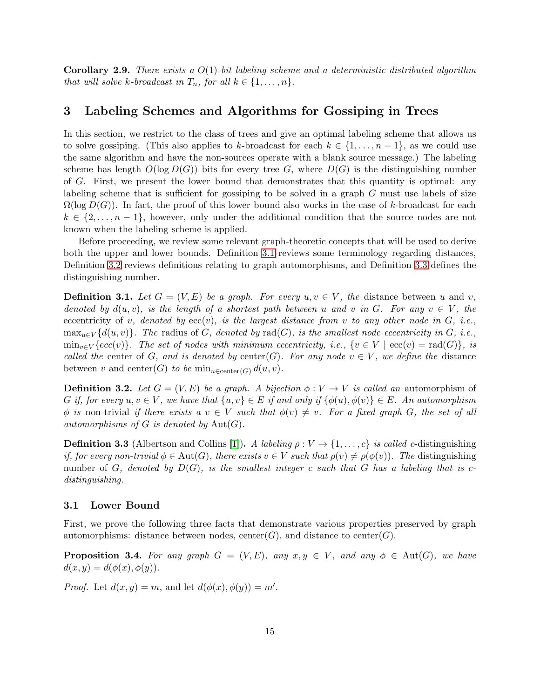Corollary 2.9. *There exists a* O(1)*-bit labeling scheme and a deterministic distributed algorithm that will solve k-broadcast in*  $T_n$ *, for all*  $k \in \{1, \ldots, n\}$ *.* 

## <span id="page-14-0"></span>3 Labeling Schemes and Algorithms for Gossiping in Trees

In this section, we restrict to the class of trees and give an optimal labeling scheme that allows us to solve gossiping. (This also applies to k-broadcast for each  $k \in \{1, \ldots, n-1\}$ , as we could use the same algorithm and have the non-sources operate with a blank source message.) The labeling scheme has length  $O(\log D(G))$  bits for every tree G, where  $D(G)$  is the distinguishing number of G. First, we present the lower bound that demonstrates that this quantity is optimal: any labeling scheme that is sufficient for gossiping to be solved in a graph  $G$  must use labels of size  $\Omega(\log D(G))$ . In fact, the proof of this lower bound also works in the case of k-broadcast for each  $k \in \{2, \ldots, n-1\}$ , however, only under the additional condition that the source nodes are not known when the labeling scheme is applied.

Before proceeding, we review some relevant graph-theoretic concepts that will be used to derive both the upper and lower bounds. Definition [3.1](#page-14-1) reviews some terminology regarding distances, Definition [3.2](#page-14-2) reviews definitions relating to graph automorphisms, and Definition [3.3](#page-14-3) defines the distinguishing number.

<span id="page-14-1"></span>**Definition 3.1.** Let  $G = (V, E)$  be a graph. For every  $u, v \in V$ , the distance between u and v, *denoted by*  $d(u, v)$ *, is the length of a shortest path between* u and v in G. For any  $v \in V$ *, the* eccentricity of v, denoted by  $ecc(v)$ , is the largest distance from v to any other node in  $G$ , i.e.,  $\max_{u \in V} \{d(u, v)\}\$ . The radius of G, denoted by rad(G), is the smallest node eccentricity in G, i.e.,  $\min_{v \in V} \{ecc(v)\}\$ . The set of nodes with minimum eccentricity, i.e.,  $\{v \in V \mid ecc(v) = rad(G)\}\$ , is *called the* center of G, and is denoted by center(G). For any node  $v \in V$ , we define the distance between v and center(G) to be  $\min_{u \in \text{center}(G)} d(u, v)$ .

<span id="page-14-2"></span>**Definition 3.2.** Let  $G = (V, E)$  be a graph. A bijection  $\phi: V \to V$  is called an automorphism of G if, for every  $u, v \in V$ , we have that  $\{u, v\} \in E$  if and only if  $\{\phi(u), \phi(v)\} \in E$ . An automorphism  $\phi$  *is* non-trivial *if there exists a*  $v \in V$  *such that*  $\phi(v) \neq v$ *. For a fixed graph* G, the set of all *automorphisms of*  $G$  *is denoted by*  $Aut(G)$ *.* 

<span id="page-14-3"></span>**Definition 3.3** (Albertson and Collins [\[1\]](#page-26-5)). A labeling  $\rho: V \to \{1, \ldots, c\}$  is called c-distinguishing *if, for every non-trivial*  $\phi \in Aut(G)$ *, there exists*  $v \in V$  *such that*  $\rho(v) \neq \rho(\phi(v))$ *. The* distinguishing number of G, denoted by  $D(G)$ , is the smallest integer c such that G has a labeling that is c*distinguishing.*

#### 3.1 Lower Bound

First, we prove the following three facts that demonstrate various properties preserved by graph automorphisms: distance between nodes, center(G), and distance to center(G).

<span id="page-14-4"></span>**Proposition 3.4.** For any graph  $G = (V, E)$ , any  $x, y \in V$ , and any  $\phi \in \text{Aut}(G)$ , we have  $d(x, y) = d(\phi(x), \phi(y)).$ 

*Proof.* Let  $d(x, y) = m$ , and let  $d(\phi(x), \phi(y)) = m'$ .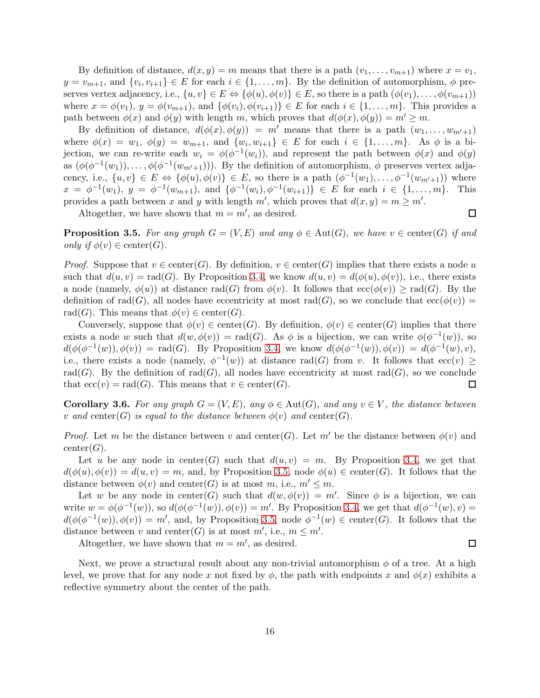By definition of distance,  $d(x, y) = m$  means that there is a path  $(v_1, \ldots, v_{m+1})$  where  $x = v_1$ ,  $y = v_{m+1}$ , and  $\{v_i, v_{i+1}\} \in E$  for each  $i \in \{1, \ldots, m\}$ . By the definition of automorphism,  $\phi$  preserves vertex adjacency, i.e.,  $\{u, v\} \in E \Leftrightarrow \{\phi(u), \phi(v)\} \in E$ , so there is a path  $(\phi(v_1), \ldots, \phi(v_{m+1}))$ where  $x = \phi(v_1)$ ,  $y = \phi(v_{m+1})$ , and  $\{\phi(v_i), \phi(v_{i+1})\} \in E$  for each  $i \in \{1, \ldots, m\}$ . This provides a path between  $\phi(x)$  and  $\phi(y)$  with length m, which proves that  $d(\phi(x), \phi(y)) = m' \geq m$ .

By definition of distance,  $d(\phi(x), \phi(y)) = m'$  means that there is a path  $(w_1, \ldots, w_{m'+1})$ where  $\phi(x) = w_1, \ \phi(y) = w_{m+1}, \text{ and } \{w_i, w_{i+1}\} \in E \text{ for each } i \in \{1, ..., m\}.$  As  $\phi$  is a bijection, we can re-write each  $w_i = \phi(\phi^{-1}(w_i))$ , and represent the path between  $\phi(x)$  and  $\phi(y)$ as  $(\phi(\phi^{-1}(w_1)), \ldots, \phi(\phi^{-1}(w_{m'+1})))$ . By the definition of automorphism,  $\phi$  preserves vertex adjacency, i.e.,  $\{u, v\} \in E \Leftrightarrow \{\phi(u), \phi(v)\} \in E$ , so there is a path  $(\phi^{-1}(w_1), \ldots, \phi^{-1}(w_{m'+1}))$  where  $x = \phi^{-1}(w_1), y = \phi^{-1}(w_{m+1}), \text{ and } \{\phi^{-1}(w_i), \phi^{-1}(w_{i+1})\} \in E \text{ for each } i \in \{1, ..., m\}.$  This provides a path between x and y with length  $m'$ , which proves that  $d(x, y) = m \ge m'$ .

Altogether, we have shown that  $m = m'$ , as desired.

<span id="page-15-0"></span>**Proposition 3.5.** For any graph  $G = (V, E)$  and any  $\phi \in \text{Aut}(G)$ , we have  $v \in \text{center}(G)$  if and *only if*  $\phi(v) \in \text{center}(G)$ .

*Proof.* Suppose that  $v \in \text{center}(G)$ . By definition,  $v \in \text{center}(G)$  implies that there exists a node u such that  $d(u, v) = \text{rad}(G)$ . By Proposition [3.4,](#page-14-4) we know  $d(u, v) = d(\phi(u), \phi(v))$ , i.e., there exists a node (namely,  $\phi(u)$ ) at distance rad(G) from  $\phi(v)$ . It follows that  $\operatorname{ecc}(\phi(v)) \geq \operatorname{rad}(G)$ . By the definition of rad(G), all nodes have eccentricity at most rad(G), so we conclude that  $\operatorname{ecc}(\phi(v)) =$ rad(G). This means that  $\phi(v) \in \text{center}(G)$ .

Conversely, suppose that  $\phi(v) \in \text{center}(G)$ . By definition,  $\phi(v) \in \text{center}(G)$  implies that there exists a node w such that  $d(w, \phi(v)) = \text{rad}(G)$ . As  $\phi$  is a bijection, we can write  $\phi(\phi^{-1}(w))$ , so  $d(\phi(\phi^{-1}(w)), \phi(v)) = \text{rad}(G)$ . By Proposition [3.4,](#page-14-4) we know  $d(\phi(\phi^{-1}(w)), \phi(v)) = d(\phi^{-1}(w), v)$ , i.e., there exists a node (namely,  $\phi^{-1}(w)$ ) at distance rad(G) from v. It follows that ecc(v)  $\geq$ rad(G). By the definition of rad(G), all nodes have eccentricity at most rad(G), so we conclude that  $ecc(v) = rad(G)$ . This means that  $v \in center(G)$ . □

<span id="page-15-1"></span>**Corollary 3.6.** For any graph  $G = (V, E)$ , any  $\phi \in Aut(G)$ , and any  $v \in V$ , the distance between v and center(G) is equal to the distance between  $\phi(v)$  and center(G).

*Proof.* Let m be the distance between v and center(G). Let m' be the distance between  $\phi(v)$  and  $center(G).$ 

Let u be any node in center(G) such that  $d(u, v) = m$ . By Proposition [3.4,](#page-14-4) we get that  $d(\phi(u), \phi(v)) = d(u, v) = m$ , and, by Proposition [3.5,](#page-15-0) node  $\phi(u) \in \text{center}(G)$ . It follows that the distance between  $\phi(v)$  and center(G) is at most m, i.e.,  $m' \leq m$ .

Let w be any node in center(G) such that  $d(w, \phi(v)) = m'$ . Since  $\phi$  is a bijection, we can write  $w = \phi(\phi^{-1}(w))$ , so  $d(\phi(\phi^{-1}(w)), \phi(v)) = m'$ . By Proposition [3.4,](#page-14-4) we get that  $d(\phi^{-1}(w), v) =$  $d(\phi(\phi^{-1}(w)), \phi(v)) = m'$ , and, by Proposition [3.5,](#page-15-0) node  $\phi^{-1}(w) \in \text{center}(G)$ . It follows that the distance between v and center(G) is at most  $m'$ , i.e.,  $m \leq m'$ .  $\Box$ 

Altogether, we have shown that  $m = m'$ , as desired.

Next, we prove a structural result about any non-trivial automorphism  $\phi$  of a tree. At a high level, we prove that for any node x not fixed by  $\phi$ , the path with endpoints x and  $\phi(x)$  exhibits a reflective symmetry about the center of the path.

 $\Box$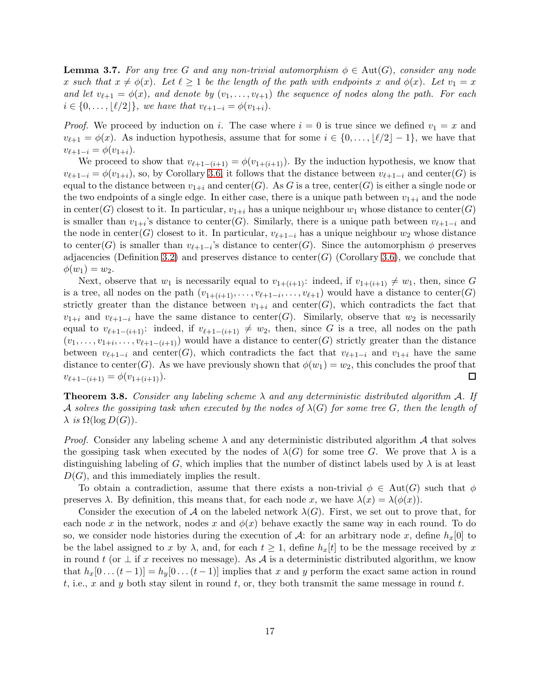<span id="page-16-0"></span>**Lemma 3.7.** For any tree G and any non-trivial automorphism  $\phi \in Aut(G)$ , consider any node x such that  $x \neq \phi(x)$ *.* Let  $\ell \geq 1$  be the length of the path with endpoints x and  $\phi(x)$ *.* Let  $v_1 = x$ *and let*  $v_{\ell+1} = \phi(x)$ *, and denote by*  $(v_1, \ldots, v_{\ell+1})$  *the sequence of nodes along the path. For each*  $i \in \{0, \ldots, |\ell/2|\},$  we have that  $v_{\ell+1-i} = \phi(v_{1+i}).$ 

*Proof.* We proceed by induction on i. The case where  $i = 0$  is true since we defined  $v_1 = x$  and  $v_{\ell+1} = \phi(x)$ . As induction hypothesis, assume that for some  $i \in \{0, \ldots, |\ell/2|-1\}$ , we have that  $v_{\ell+1-i} = \phi(v_{1+i}).$ 

We proceed to show that  $v_{\ell+1-(i+1)} = \phi(v_{1+(i+1)})$ . By the induction hypothesis, we know that  $v_{\ell+1-i} = \phi(v_{1+i}),$  so, by Corollary [3.6,](#page-15-1) it follows that the distance between  $v_{\ell+1-i}$  and center(G) is equal to the distance between  $v_{1+i}$  and center(G). As G is a tree, center(G) is either a single node or the two endpoints of a single edge. In either case, there is a unique path between  $v_{1+i}$  and the node in center(G) closest to it. In particular,  $v_{1+i}$  has a unique neighbour  $w_1$  whose distance to center(G) is smaller than  $v_{1+i}$ 's distance to center(G). Similarly, there is a unique path between  $v_{\ell+1-i}$  and the node in center(G) closest to it. In particular,  $v_{\ell+1-i}$  has a unique neighbour  $w_2$  whose distance to center(G) is smaller than  $v_{\ell+1-i}$ 's distance to center(G). Since the automorphism  $\phi$  preserves adjacencies (Definition [3.2\)](#page-14-2) and preserves distance to center(G) (Corollary [3.6\)](#page-15-1), we conclude that  $\phi(w_1) = w_2.$ 

Next, observe that  $w_1$  is necessarily equal to  $v_{1+(i+1)}$ : indeed, if  $v_{1+(i+1)} \neq w_1$ , then, since G is a tree, all nodes on the path  $(v_{1+(i+1)},...,v_{\ell+1-i},...,v_{\ell+1})$  would have a distance to center(G) strictly greater than the distance between  $v_{1+i}$  and center(G), which contradicts the fact that  $v_{1+i}$  and  $v_{\ell+1-i}$  have the same distance to center(G). Similarly, observe that  $w_2$  is necessarily equal to  $v_{\ell+1-(i+1)}$ : indeed, if  $v_{\ell+1-(i+1)} \neq w_2$ , then, since G is a tree, all nodes on the path  $(v_1,\ldots,v_{1+i},\ldots,v_{\ell+1-(i+1)})$  would have a distance to center(G) strictly greater than the distance between  $v_{\ell+1-i}$  and center(G), which contradicts the fact that  $v_{\ell+1-i}$  and  $v_{1+i}$  have the same distance to center(G). As we have previously shown that  $\phi(w_1) = w_2$ , this concludes the proof that  $v_{\ell+1-(i+1)} = \phi(v_{1+(i+1)}).$  $\Box$ 

Theorem 3.8. *Consider any labeling scheme* λ *and any deterministic distributed algorithm* A*. If* A solves the gossiping task when executed by the nodes of  $\lambda(G)$  for some tree G, then the length of  $\lambda$  *is*  $\Omega(\log D(G))$ .

*Proof.* Consider any labeling scheme  $\lambda$  and any deterministic distributed algorithm  $\mathcal A$  that solves the gossiping task when executed by the nodes of  $\lambda(G)$  for some tree G. We prove that  $\lambda$  is a distinguishing labeling of G, which implies that the number of distinct labels used by  $\lambda$  is at least  $D(G)$ , and this immediately implies the result.

To obtain a contradiction, assume that there exists a non-trivial  $\phi \in Aut(G)$  such that  $\phi$ preserves  $\lambda$ . By definition, this means that, for each node x, we have  $\lambda(x) = \lambda(\phi(x))$ .

Consider the execution of A on the labeled network  $\lambda(G)$ . First, we set out to prove that, for each node x in the network, nodes x and  $\phi(x)$  behave exactly the same way in each round. To do so, we consider node histories during the execution of A: for an arbitrary node x, define  $h_x[0]$  to be the label assigned to x by  $\lambda$ , and, for each  $t \geq 1$ , define  $h_x[t]$  to be the message received by x in round t (or  $\perp$  if x receives no message). As A is a deterministic distributed algorithm, we know that  $h_x[0 \dots (t-1)] = h_y[0 \dots (t-1)]$  implies that x and y perform the exact same action in round t, i.e., x and y both stay silent in round t, or, they both transmit the same message in round t.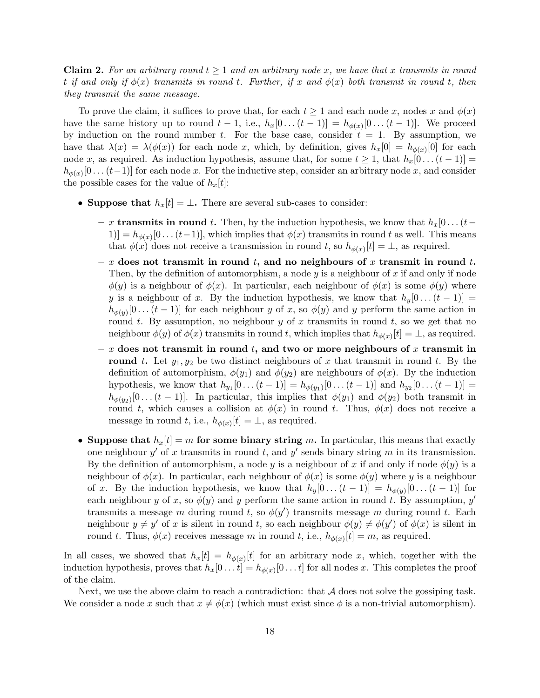**Claim 2.** For an arbitrary round  $t \geq 1$  and an arbitrary node x, we have that x transmits in round  $t$  *if and only if*  $\phi(x)$  *transmits in round*  $t$ *. Further, if*  $x$  *and*  $\phi(x)$  *both transmit in round*  $t$ *, then they transmit the same message.*

To prove the claim, it suffices to prove that, for each  $t \geq 1$  and each node x, nodes x and  $\phi(x)$ have the same history up to round  $t-1$ , i.e.,  $h_x[0 \dots (t-1)] = h_{\phi(x)}[0 \dots (t-1)]$ . We proceed by induction on the round number t. For the base case, consider  $t = 1$ . By assumption, we have that  $\lambda(x) = \lambda(\phi(x))$  for each node x, which, by definition, gives  $h_x[0] = h_{\phi(x)}[0]$  for each node x, as required. As induction hypothesis, assume that, for some  $t \ge 1$ , that  $h_x[0 \dots (t-1)] =$  $h_{\phi(x)}[0 \dots (t-1)]$  for each node x. For the inductive step, consider an arbitrary node x, and consider the possible cases for the value of  $h_x[t]$ :

- Suppose that  $h_x[t] = \bot$ . There are several sub-cases to consider:
	- x transmits in round t. Then, by the induction hypothesis, we know that  $h_x[0 \dots (t−$  $[1] = h_{\phi(x)}[0 \dots (t-1)],$  which implies that  $\phi(x)$  transmits in round t as well. This means that  $\phi(x)$  does not receive a transmission in round t, so  $h_{\phi(x)}[t] = \bot$ , as required.
	- x does not transmit in round t, and no neighbours of x transmit in round t. Then, by the definition of automorphism, a node y is a neighbour of x if and only if node  $\phi(y)$  is a neighbour of  $\phi(x)$ . In particular, each neighbour of  $\phi(x)$  is some  $\phi(y)$  where y is a neighbour of x. By the induction hypothesis, we know that  $h_y[0 \dots (t-1)] =$  $h_{\phi(y)}[0 \dots (t-1)]$  for each neighbour y of x, so  $\phi(y)$  and y perform the same action in round t. By assumption, no neighbour y of x transmits in round t, so we get that no neighbour  $\phi(y)$  of  $\phi(x)$  transmits in round t, which implies that  $h_{\phi(x)}[t] = \bot$ , as required.
	- x does not transmit in round t, and two or more neighbours of x transmit in **round t.** Let  $y_1, y_2$  be two distinct neighbours of x that transmit in round t. By the definition of automorphism,  $\phi(y_1)$  and  $\phi(y_2)$  are neighbours of  $\phi(x)$ . By the induction hypothesis, we know that  $h_{y_1}[0 \dots (t-1)] = h_{\phi(y_1)}[0 \dots (t-1)]$  and  $h_{y_2}[0 \dots (t-1)] =$  $h_{\phi(y_2)}[0 \dots (t-1)]$ . In particular, this implies that  $\phi(y_1)$  and  $\phi(y_2)$  both transmit in round t, which causes a collision at  $\phi(x)$  in round t. Thus,  $\phi(x)$  does not receive a message in round t, i.e.,  $h_{\phi(x)}[t] = \perp$ , as required.
- Suppose that  $h_x[t] = m$  for some binary string m. In particular, this means that exactly one neighbour  $y'$  of x transmits in round t, and  $y'$  sends binary string m in its transmission. By the definition of automorphism, a node y is a neighbour of x if and only if node  $\phi(y)$  is a neighbour of  $\phi(x)$ . In particular, each neighbour of  $\phi(x)$  is some  $\phi(y)$  where y is a neighbour of x. By the induction hypothesis, we know that  $h_y[0 \dots (t-1)] = h_{\phi(y)}[0 \dots (t-1)]$  for each neighbour y of x, so  $\phi(y)$  and y perform the same action in round t. By assumption, y' transmits a message m during round t, so  $\phi(y')$  transmits message m during round t. Each neighbour  $y \neq y'$  of x is silent in round t, so each neighbour  $\phi(y) \neq \phi(y')$  of  $\phi(x)$  is silent in round t. Thus,  $\phi(x)$  receives message m in round t, i.e.,  $h_{\phi(x)}[t] = m$ , as required.

In all cases, we showed that  $h_x[t] = h_{\phi(x)}[t]$  for an arbitrary node x, which, together with the induction hypothesis, proves that  $h_x[0 \dots t] = h_{\phi(x)}[0 \dots t]$  for all nodes x. This completes the proof of the claim.

Next, we use the above claim to reach a contradiction: that  $A$  does not solve the gossiping task. We consider a node x such that  $x \neq \phi(x)$  (which must exist since  $\phi$  is a non-trivial automorphism).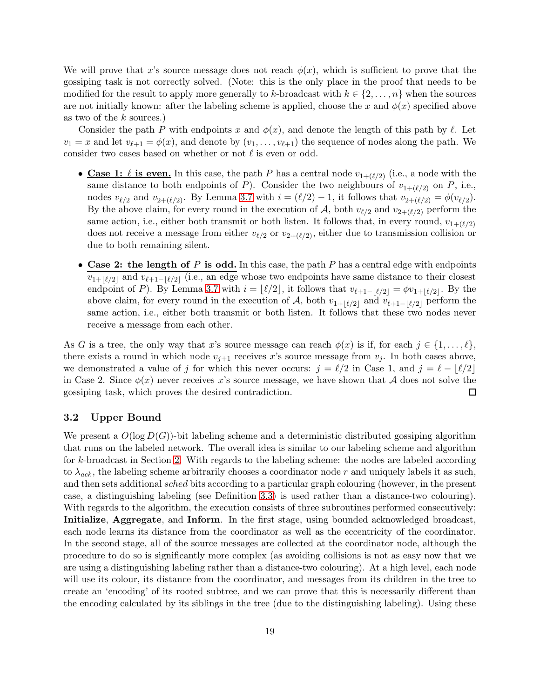We will prove that x's source message does not reach  $\phi(x)$ , which is sufficient to prove that the gossiping task is not correctly solved. (Note: this is the only place in the proof that needs to be modified for the result to apply more generally to k-broadcast with  $k \in \{2, \ldots, n\}$  when the sources are not initially known: after the labeling scheme is applied, choose the x and  $\phi(x)$  specified above as two of the k sources.)

Consider the path P with endpoints x and  $\phi(x)$ , and denote the length of this path by  $\ell$ . Let  $v_1 = x$  and let  $v_{\ell+1} = \phi(x)$ , and denote by  $(v_1, \ldots, v_{\ell+1})$  the sequence of nodes along the path. We consider two cases based on whether or not  $\ell$  is even or odd.

- Case 1:  $\ell$  is even. In this case, the path P has a central node  $v_{1+(\ell/2)}$  (i.e., a node with the same distance to both endpoints of P). Consider the two neighbours of  $v_{1+(\ell/2)}$  on P, i.e., nodes  $v_{\ell/2}$  and  $v_{2+(\ell/2)}$ . By Lemma [3.7](#page-16-0) with  $i = (\ell/2) - 1$ , it follows that  $v_{2+(\ell/2)} = \phi(v_{\ell/2})$ . By the above claim, for every round in the execution of A, both  $v_{\ell/2}$  and  $v_{2+(\ell/2)}$  perform the same action, i.e., either both transmit or both listen. It follows that, in every round,  $v_{1+(\ell/2)}$ does not receive a message from either  $v_{\ell/2}$  or  $v_{2+(\ell/2)}$ , either due to transmission collision or due to both remaining silent.
- Case 2: the length of P is odd. In this case, the path P has a central edge with endpoints  $v_{1+\lfloor \ell/2\rfloor}$  and  $v_{\ell+1-\lfloor \ell/2\rfloor}$  (i.e., an edge whose two endpoints have same distance to their closest endpoint of P). By Lemma [3.7](#page-16-0) with  $i = \lfloor \ell/2 \rfloor$ , it follows that  $v_{\ell+1-\lfloor \ell/2 \rfloor} = \phi v_{1+\lfloor \ell/2 \rfloor}$ . By the above claim, for every round in the execution of A, both  $v_{1+|\ell/2|}$  and  $v_{\ell+1-|\ell/2|}$  perform the same action, i.e., either both transmit or both listen. It follows that these two nodes never receive a message from each other.

As G is a tree, the only way that x's source message can reach  $\phi(x)$  is if, for each  $j \in \{1, \ldots, \ell\}$ , there exists a round in which node  $v_{j+1}$  receives x's source message from  $v_j$ . In both cases above, we demonstrated a value of j for which this never occurs:  $j = \ell/2$  in Case 1, and  $j = \ell - |\ell/2|$ in Case 2. Since  $\phi(x)$  never receives x's source message, we have shown that A does not solve the gossiping task, which proves the desired contradiction. gossiping task, which proves the desired contradiction.

#### 3.2 Upper Bound

We present a  $O(\log D(G))$ -bit labeling scheme and a deterministic distributed gossiping algorithm that runs on the labeled network. The overall idea is similar to our labeling scheme and algorithm for k-broadcast in Section [2.](#page-3-0) With regards to the labeling scheme: the nodes are labeled according to  $\lambda_{ack}$ , the labeling scheme arbitrarily chooses a coordinator node r and uniquely labels it as such, and then sets additional *sched* bits according to a particular graph colouring (however, in the present case, a distinguishing labeling (see Definition [3.3\)](#page-14-3) is used rather than a distance-two colouring). With regards to the algorithm, the execution consists of three subroutines performed consecutively: Initialize, Aggregate, and Inform. In the first stage, using bounded acknowledged broadcast, each node learns its distance from the coordinator as well as the eccentricity of the coordinator. In the second stage, all of the source messages are collected at the coordinator node, although the procedure to do so is significantly more complex (as avoiding collisions is not as easy now that we are using a distinguishing labeling rather than a distance-two colouring). At a high level, each node will use its colour, its distance from the coordinator, and messages from its children in the tree to create an 'encoding' of its rooted subtree, and we can prove that this is necessarily different than the encoding calculated by its siblings in the tree (due to the distinguishing labeling). Using these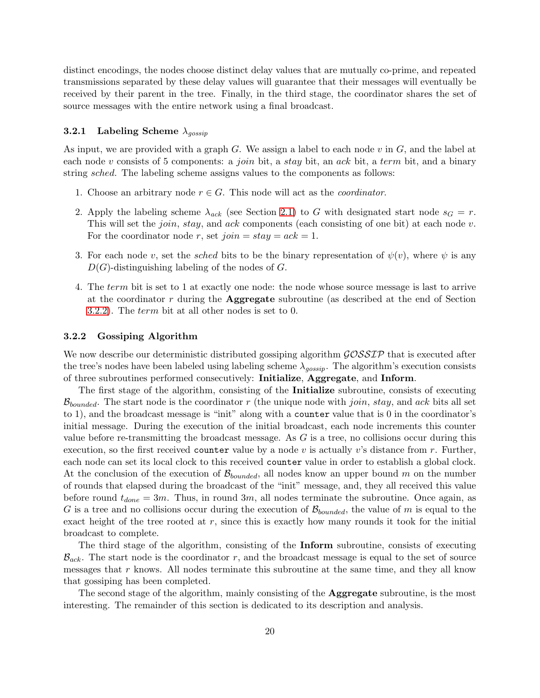distinct encodings, the nodes choose distinct delay values that are mutually co-prime, and repeated transmissions separated by these delay values will guarantee that their messages will eventually be received by their parent in the tree. Finally, in the third stage, the coordinator shares the set of source messages with the entire network using a final broadcast.

### **3.2.1** Labeling Scheme  $\lambda_{gossip}$

As input, we are provided with a graph  $G$ . We assign a label to each node  $v$  in  $G$ , and the label at each node v consists of 5 components: a *join* bit, a *stay* bit, an *ack* bit, a *term* bit, and a binary string sched. The labeling scheme assigns values to the components as follows:

- 1. Choose an arbitrary node  $r \in G$ . This node will act as the *coordinator*.
- 2. Apply the labeling scheme  $\lambda_{ack}$  (see Section [2.1\)](#page-3-1) to G with designated start node  $s_G = r$ . This will set the *join*, *stay*, and *ack* components (each consisting of one bit) at each node v. For the coordinator node r, set  $join = stay = ack = 1$ .
- 3. For each node v, set the sched bits to be the binary representation of  $\psi(v)$ , where  $\psi$  is any  $D(G)$ -distinguishing labeling of the nodes of G.
- 4. The term bit is set to 1 at exactly one node: the node whose source message is last to arrive at the coordinator  $r$  during the **Aggregate** subroutine (as described at the end of Section [3.2.2\)](#page-19-0). The term bit at all other nodes is set to 0.

#### <span id="page-19-0"></span>3.2.2 Gossiping Algorithm

We now describe our deterministic distributed gossiping algorithm  $\mathcal{GOSSIP}$  that is executed after the tree's nodes have been labeled using labeling scheme  $\lambda_{qossip}$ . The algorithm's execution consists of three subroutines performed consecutively: Initialize, Aggregate, and Inform.

The first stage of the algorithm, consisting of the Initialize subroutine, consists of executing  $\mathcal{B}_{bounded}$ . The start node is the coordinator r (the unique node with join, stay, and ack bits all set to 1), and the broadcast message is "init" along with a counter value that is 0 in the coordinator's initial message. During the execution of the initial broadcast, each node increments this counter value before re-transmitting the broadcast message. As  $G$  is a tree, no collisions occur during this execution, so the first received counter value by a node v is actually v's distance from r. Further, each node can set its local clock to this received counter value in order to establish a global clock. At the conclusion of the execution of  $\mathcal{B}_{bounded}$ , all nodes know an upper bound m on the number of rounds that elapsed during the broadcast of the "init" message, and, they all received this value before round  $t_{done} = 3m$ . Thus, in round  $3m$ , all nodes terminate the subroutine. Once again, as G is a tree and no collisions occur during the execution of  $\mathcal{B}_{bounded}$ , the value of m is equal to the exact height of the tree rooted at  $r$ , since this is exactly how many rounds it took for the initial broadcast to complete.

The third stage of the algorithm, consisting of the Inform subroutine, consists of executing  $\mathcal{B}_{ack}$ . The start node is the coordinator r, and the broadcast message is equal to the set of source messages that  $r$  knows. All nodes terminate this subroutine at the same time, and they all know that gossiping has been completed.

The second stage of the algorithm, mainly consisting of the **Aggregate** subroutine, is the most interesting. The remainder of this section is dedicated to its description and analysis.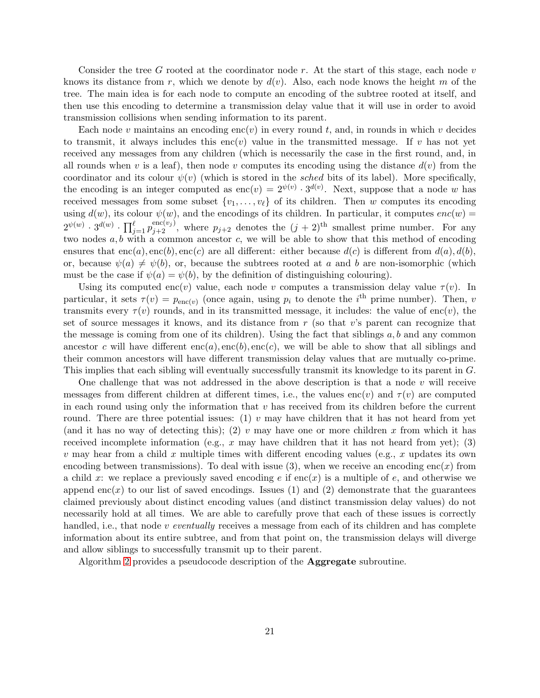Consider the tree G rooted at the coordinator node r. At the start of this stage, each node  $v$ knows its distance from r, which we denote by  $d(v)$ . Also, each node knows the height m of the tree. The main idea is for each node to compute an encoding of the subtree rooted at itself, and then use this encoding to determine a transmission delay value that it will use in order to avoid transmission collisions when sending information to its parent.

Each node v maintains an encoding enc(v) in every round t, and, in rounds in which v decides to transmit, it always includes this enc(v) value in the transmitted message. If v has not yet received any messages from any children (which is necessarily the case in the first round, and, in all rounds when v is a leaf), then node v computes its encoding using the distance  $d(v)$  from the coordinator and its colour  $\psi(v)$  (which is stored in the sched bits of its label). More specifically, the encoding is an integer computed as  $\text{enc}(v) = 2^{\psi(v)} \cdot 3^{d(v)}$ . Next, suppose that a node w has received messages from some subset  $\{v_1, \ldots, v_\ell\}$  of its children. Then w computes its encoding using  $d(w)$ , its colour  $\psi(w)$ , and the encodings of its children. In particular, it computes  $enc(w)$  $2^{\psi(w)} \cdot 3^{d(w)} \cdot \prod_{j=1}^{\ell} p_{j+2}^{\text{enc}(v_j)}$ , where  $p_{j+2}$  denotes the  $(j+2)$ <sup>th</sup> smallest prime number. For any two nodes  $a, b$  with a common ancestor c, we will be able to show that this method of encoding ensures that  $enc(a)$ ,  $enc(b)$ ,  $enc(c)$  are all different: either because  $d(c)$  is different from  $d(a)$ ,  $d(b)$ , or, because  $\psi(a) \neq \psi(b)$ , or, because the subtrees rooted at a and b are non-isomorphic (which must be the case if  $\psi(a) = \psi(b)$ , by the definition of distinguishing colouring).

Using its computed enc(v) value, each node v computes a transmission delay value  $\tau(v)$ . In particular, it sets  $\tau(v) = p_{\text{enc}(v)}$  (once again, using  $p_i$  to denote the  $i^{\text{th}}$  prime number). Then, v transmits every  $\tau(v)$  rounds, and in its transmitted message, it includes: the value of enc(v), the set of source messages it knows, and its distance from  $r$  (so that v's parent can recognize that the message is coming from one of its children). Using the fact that siblings  $a, b$  and any common ancestor c will have different  $enc(a)$ ,  $enc(b)$ ,  $enc(c)$ , we will be able to show that all siblings and their common ancestors will have different transmission delay values that are mutually co-prime. This implies that each sibling will eventually successfully transmit its knowledge to its parent in G.

One challenge that was not addressed in the above description is that a node  $v$  will receive messages from different children at different times, i.e., the values enc(v) and  $\tau(v)$  are computed in each round using only the information that  $v$  has received from its children before the current round. There are three potential issues: (1) v may have children that it has not heard from yet (and it has no way of detecting this); (2) v may have one or more children x from which it has received incomplete information (e.g.,  $x$  may have children that it has not heard from yet); (3) v may hear from a child x multiple times with different encoding values (e.g., x updates its own encoding between transmissions). To deal with issue (3), when we receive an encoding enc(x) from a child x: we replace a previously saved encoding  $e$  if  $enc(x)$  is a multiple of e, and otherwise we append enc(x) to our list of saved encodings. Issues (1) and (2) demonstrate that the guarantees claimed previously about distinct encoding values (and distinct transmission delay values) do not necessarily hold at all times. We are able to carefully prove that each of these issues is correctly handled, i.e., that node v *eventually* receives a message from each of its children and has complete information about its entire subtree, and from that point on, the transmission delays will diverge and allow siblings to successfully transmit up to their parent.

Algorithm [2](#page-21-0) provides a pseudocode description of the Aggregate subroutine.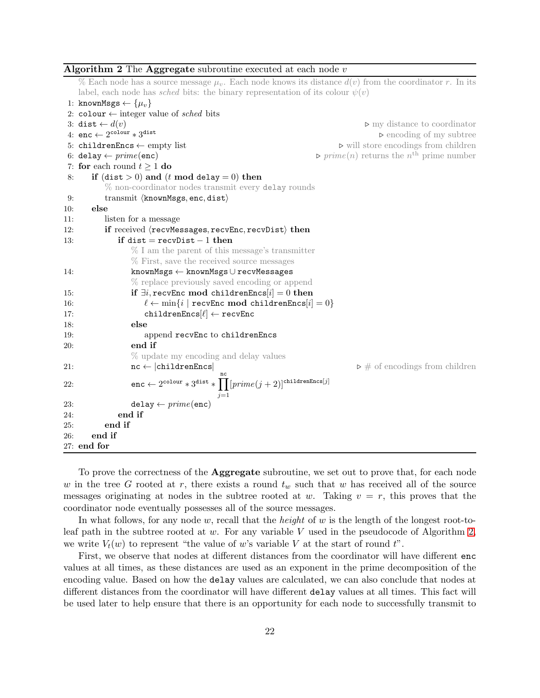# <span id="page-21-0"></span>Algorithm 2 The Aggregate subroutine executed at each node  $v$

% Each node has a source message  $\mu_v$ . Each node knows its distance  $d(v)$  from the coordinator r. In its label, each node has *sched* bits: the binary representation of its colour  $\psi(v)$ 

1: knownMsgs  $\leftarrow \{u_v\}$ 2: colour  $\leftarrow$  integer value of *sched* bits<br>3: dist  $\leftarrow d(v)$ 3: dist ← d(v) ⊲ my distance to coordinator 4: enc  $\leftarrow 2^{\text{colour}} * 3$ dist ⊲ encoding of my subtree 5: childrenEncs ← empty list  $\triangleright$  will store encodings from children  $\triangleright$  will store encodings from children  $\triangleright$  prime $(n)$  returns the  $n^{\text{th}}$  prime number 6: **delay** ←  $prime(\text{enc})$   $\triangleright \text{prime}(n)$  returns the  $n^{\text{th}}$  prime number 7: for each round  $t \ge 1$  do<br>8: if  $(\text{dist} > 0)$  and  $(t$ if (dist  $> 0$ ) and (t mod delay  $= 0$ ) then % non-coordinator nodes transmit every delay rounds 9: transmit  $\langle$ knownMsgs, enc, dist $\rangle$ 10: else  $_{\rm else}$ 11: listen for a message 12: if received  $\langle$  recvMessages, recvEnc, recvDist $\rangle$  then<br>13: if dist = recvDist - 1 then if dist = recvDist  $-1$  then % I am the parent of this message's transmitter % First, save the received source messages 14: knownMsgs ← knownMsgs ∪ recvMessages % replace previously saved encoding or append 15: if  $\exists i$ , recvEnc mod childrenEncs[i] = 0 then<br>16:  $\ell \leftarrow \min\{i \mid \text{recvEnc mod childrenEncs}[i]\}$ 16:  $\ell \leftarrow \min\{i \mid \text{recvEnc} \mod \text{childrenEncs}[i] = 0\}$ <br>17: childrenEncs $\ell$  /  $\leftarrow$  recvEnc 17: children $\text{Encs}[\ell] \leftarrow \text{recvEnc}$ <br>18: else else 19: append recvEnc to childrenEncs 20: end if % update my encoding and delay values 21:  $\mathbf{nc} \leftarrow |\text{childrenEncs}|$   $\triangleright \#$  of encodings from children 22: enc ← 2<sup>colour</sup> \* 3<sup>dist</sup> \*  $\prod_{i=1}^{nc} [prime(j + 2)]^{\text{childrenEnc}[j]}$  $j=1$ 23: delay  $\leftarrow \text{prime(enc)}$ <br>24. end if end if 25: end if 26: end if 27: end for

To prove the correctness of the Aggregate subroutine, we set out to prove that, for each node w in the tree G rooted at r, there exists a round  $t_w$  such that w has received all of the source messages originating at nodes in the subtree rooted at w. Taking  $v = r$ , this proves that the coordinator node eventually possesses all of the source messages.

In what follows, for any node w, recall that the *height* of w is the length of the longest root-to-leaf path in the subtree rooted at w. For any variable V used in the pseudocode of Algorithm [2,](#page-21-0) we write  $V_t(w)$  to represent "the value of w's variable V at the start of round t".

First, we observe that nodes at different distances from the coordinator will have different enc values at all times, as these distances are used as an exponent in the prime decomposition of the encoding value. Based on how the delay values are calculated, we can also conclude that nodes at different distances from the coordinator will have different delay values at all times. This fact will be used later to help ensure that there is an opportunity for each node to successfully transmit to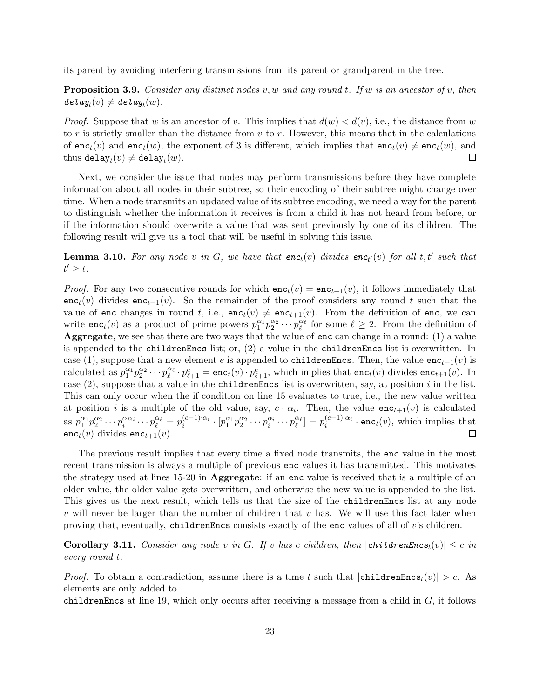its parent by avoiding interfering transmissions from its parent or grandparent in the tree.

<span id="page-22-1"></span>Proposition 3.9. *Consider any distinct nodes* v, w *and any round* t*. If* w *is an ancestor of* v*, then*  $\textit{delay}_t(v) \neq \textit{delay}_t(w).$ 

*Proof.* Suppose that w is an ancestor of v. This implies that  $d(w) < d(v)$ , i.e., the distance from w to r is strictly smaller than the distance from  $v$  to r. However, this means that in the calculations of  $\mathsf{enc}_t(v)$  and  $\mathsf{enc}_t(w)$ , the exponent of 3 is different, which implies that  $\mathsf{enc}_t(v) \neq \mathsf{enc}_t(w)$ , and thus  $\mathsf{delay}_t(v) \neq \mathsf{delay}_t(w)$ . thus  $\mathtt{delay}_{t}(v) \neq \mathtt{delay}_{t}(w)$ .

Next, we consider the issue that nodes may perform transmissions before they have complete information about all nodes in their subtree, so their encoding of their subtree might change over time. When a node transmits an updated value of its subtree encoding, we need a way for the parent to distinguish whether the information it receives is from a child it has not heard from before, or if the information should overwrite a value that was sent previously by one of its children. The following result will give us a tool that will be useful in solving this issue.

<span id="page-22-0"></span>**Lemma 3.10.** For any node v in G, we have that  $enc_t(v)$  divides  $enc_{t'}(v)$  for all t, t' such that  $t' \geq t$ .

*Proof.* For any two consecutive rounds for which  $enc<sub>t</sub>(v) = enc<sub>t+1</sub>(v)$ , it follows immediately that  $enc<sub>t</sub>(v)$  divides  $enc<sub>t+1</sub>(v)$ . So the remainder of the proof considers any round t such that the value of enc changes in round t, i.e.,  $enc_t(v) \neq enc_{t+1}(v)$ . From the definition of enc, we can write **enc**<sub>t</sub>(*v*) as a product of prime powers  $p_1^{\alpha_1} p_2^{\alpha_2} \cdots p_\ell^{\alpha_\ell}$  for some  $\ell \geq 2$ . From the definition of Aggregate, we see that there are two ways that the value of enc can change in a round: (1) a value is appended to the childrenEncs list; or, (2) a value in the childrenEncs list is overwritten. In case (1), suppose that a new element e is appended to childrenEncs. Then, the value  $enc_{t+1}(v)$  is calculated as  $p_1^{\alpha_1}$  ${}^{\alpha_1}_{1}p_2^{\alpha_2}$  $2^{\alpha_2} \cdots p_\ell^{\alpha_\ell} \cdot p_{\ell+1}^e = \texttt{enc}_t(v) \cdot p_{\ell+1}^e$ , which implies that  $\texttt{enc}_t(v)$  divides  $\texttt{enc}_{t+1}(v)$ . In case  $(2)$ , suppose that a value in the childrenEncs list is overwritten, say, at position i in the list. This can only occur when the if condition on line 15 evaluates to true, i.e., the new value written at position *i* is a multiple of the old value, say,  $c \cdot \alpha_i$ . Then, the value  $\mathsf{enc}_{t+1}(v)$  is calculated as  $p_1^{\alpha_1} p_2^{\alpha_2} \cdots p_i^{\alpha_i \alpha_i} \cdots p_\ell^{\alpha_\ell} = p_i^{(c-1)\cdot \alpha_i}$  $\left[ \begin{smallmatrix} (c-1)\cdot\alpha_i \ i \end{smallmatrix}\right] \cdot \left[ p_1^{\alpha_1}p_2^{\alpha_2}\cdots p_i^{\alpha_i}\cdots p_\ell^{\alpha_\ell} \right] = p_i^{(c-1)\cdot\alpha_i}$  $e^{(c-1)\cdot\alpha_i}$  · enc<sub>t</sub>(v), which implies that  $enc_t(v)$  divides  $enc_{t+1}(v)$ .

The previous result implies that every time a fixed node transmits, the enc value in the most recent transmission is always a multiple of previous enc values it has transmitted. This motivates the strategy used at lines 15-20 in Aggregate: if an enc value is received that is a multiple of an older value, the older value gets overwritten, and otherwise the new value is appended to the list. This gives us the next result, which tells us that the size of the childrenEncs list at any node  $v$  will never be larger than the number of children that  $v$  has. We will use this fact later when proving that, eventually, childrenEncs consists exactly of the enc values of all of  $v$ 's children.

<span id="page-22-2"></span>**Corollary 3.11.** *Consider any node* v in G. If v has c children, then  $|$ childrenEncs<sub>t</sub>(v)|  $\leq$  c in *every round* t*.*

*Proof.* To obtain a contradiction, assume there is a time t such that  $|childrenEncs_t(v)| > c$ . As elements are only added to

childrenEncs at line 19, which only occurs after receiving a message from a child in  $G$ , it follows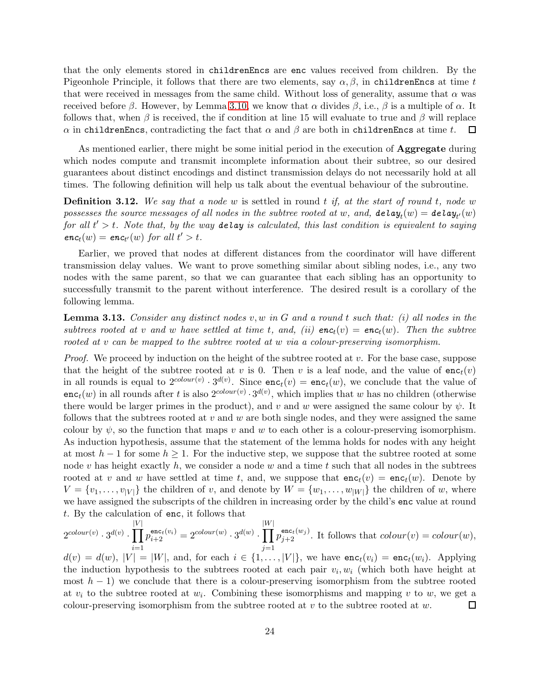that the only elements stored in childrenEncs are enc values received from children. By the Pigeonhole Principle, it follows that there are two elements, say  $\alpha, \beta$ , in childrenEncs at time t that were received in messages from the same child. Without loss of generality, assume that  $\alpha$  was received before β. However, by Lemma [3.10,](#page-22-0) we know that  $\alpha$  divides  $\beta$ , i.e., β is a multiple of  $\alpha$ . It follows that, when  $\beta$  is received, the if condition at line 15 will evaluate to true and  $\beta$  will replace α in childrenEncs, contradicting the fact that  $\alpha$  and  $\beta$  are both in childrenEncs at time t.  $\Box$ 

As mentioned earlier, there might be some initial period in the execution of **Aggregate** during which nodes compute and transmit incomplete information about their subtree, so our desired guarantees about distinct encodings and distinct transmission delays do not necessarily hold at all times. The following definition will help us talk about the eventual behaviour of the subroutine.

Definition 3.12. *We say that a node* w is settled in round t *if, at the start of round* t*, node* w  $possesses\ the\ source\ messages\ of\ all\ nodes\ in\ the\ subtree\ rooted\ at\ w,\ and,\ delay_t(w)=delay_{t'}(w)$  $for \ all \ t' > t.$  Note that, by the way **delay** is calculated, this last condition is equivalent to saying  $enc<sub>t</sub>(w) = enc<sub>t'</sub>(w)$  *for all*  $t' > t$ .

Earlier, we proved that nodes at different distances from the coordinator will have different transmission delay values. We want to prove something similar about sibling nodes, i.e., any two nodes with the same parent, so that we can guarantee that each sibling has an opportunity to successfully transmit to the parent without interference. The desired result is a corollary of the following lemma.

<span id="page-23-0"></span>Lemma 3.13. *Consider any distinct nodes* v, w *in* G *and a round* t *such that: (i) all nodes in the subtrees rooted at* v and w have settled at time t, and, (ii)  $enc_t(v) = enc_t(w)$ . Then the subtree *rooted at* v *can be mapped to the subtree rooted at* w *via a colour-preserving isomorphism.*

*Proof.* We proceed by induction on the height of the subtree rooted at v. For the base case, suppose that the height of the subtree rooted at v is 0. Then v is a leaf node, and the value of  $enc<sub>t</sub>(v)$ in all rounds is equal to  $2^{colour(v)} \cdot 3^{d(v)}$ . Since  $enc_t(v) = enc_t(w)$ , we conclude that the value of enc<sub>t</sub>(w) in all rounds after t is also  $2^{colour(v)} \cdot 3^{d(v)}$ , which implies that w has no children (otherwise there would be larger primes in the product), and v and w were assigned the same colour by  $\psi$ . It follows that the subtrees rooted at v and w are both single nodes, and they were assigned the same colour by  $\psi$ , so the function that maps v and w to each other is a colour-preserving isomorphism. As induction hypothesis, assume that the statement of the lemma holds for nodes with any height at most  $h-1$  for some  $h \geq 1$ . For the inductive step, we suppose that the subtree rooted at some node v has height exactly h, we consider a node w and a time t such that all nodes in the subtrees rooted at v and w have settled at time t, and, we suppose that  $enc<sub>t</sub>(v) = enc<sub>t</sub>(w)$ . Denote by  $V = \{v_1, \ldots, v_{|V|}\}\$ the children of v, and denote by  $W = \{w_1, \ldots, w_{|W|}\}\$ the children of w, where we have assigned the subscripts of the children in increasing order by the child's enc value at round t. By the calculation of enc, it follows that

$$
2^{colour(v)} \cdot 3^{d(v)} \cdot \prod_{i=1}^{|V|} p_{i+2}^{\mathsf{enc}_t(v_i)} = 2^{colour(w)} \cdot 3^{d(w)} \cdot \prod_{j=1}^{|W|} p_{j+2}^{\mathsf{enc}_t(w_j)}.
$$
 It follows that  $colour(v) = colour(w),$ 

 $d(v) = d(w)$ ,  $|V| = |W|$ , and, for each  $i \in \{1, \ldots, |V|\}$ , we have  $\mathsf{enc}_t(v_i) = \mathsf{enc}_t(w_i)$ . Applying the induction hypothesis to the subtrees rooted at each pair  $v_i, w_i$  (which both have height at most  $h-1$ ) we conclude that there is a colour-preserving isomorphism from the subtree rooted at  $v_i$  to the subtree rooted at  $w_i$ . Combining these isomorphisms and mapping v to w, we get a colour-preserving isomorphism from the subtree rooted at  $v$  to the subtree rooted at  $w$ .  $\Box$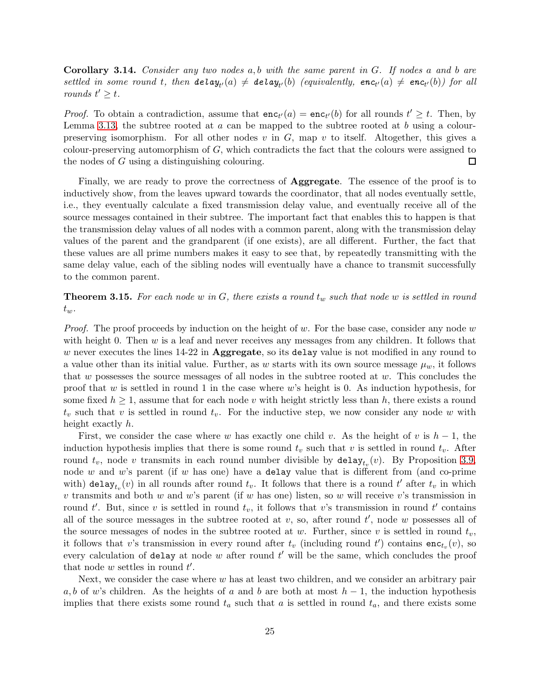<span id="page-24-0"></span>Corollary 3.14. *Consider any two nodes* a, b *with the same parent in* G*. If nodes* a *and* b *are*  ${\it settled\,\, in\,\, some\,\, round\,\, t, \,\, then\,\, {\it delay}_{t'}(a) \, \neq \, {\it delay}_{t'}(b) \,\, (equivalently,\,\, {\it enc}_{t'}(a) \, \neq \, {\it enc}_{t'}(b)) \,\, for\,\, all}$ *rounds*  $t' \geq t$ .

*Proof.* To obtain a contradiction, assume that  $enc_{t'}(a) = enc_{t'}(b)$  for all rounds  $t' \geq t$ . Then, by Lemma [3.13,](#page-23-0) the subtree rooted at  $a$  can be mapped to the subtree rooted at  $b$  using a colourpreserving isomorphism. For all other nodes  $v$  in  $G$ , map  $v$  to itself. Altogether, this gives a colour-preserving automorphism of  $G$ , which contradicts the fact that the colours were assigned to the nodes of G using a distinguishing colouring.  $\Box$ 

Finally, we are ready to prove the correctness of **Aggregate**. The essence of the proof is to inductively show, from the leaves upward towards the coordinator, that all nodes eventually settle, i.e., they eventually calculate a fixed transmission delay value, and eventually receive all of the source messages contained in their subtree. The important fact that enables this to happen is that the transmission delay values of all nodes with a common parent, along with the transmission delay values of the parent and the grandparent (if one exists), are all different. Further, the fact that these values are all prime numbers makes it easy to see that, by repeatedly transmitting with the same delay value, each of the sibling nodes will eventually have a chance to transmit successfully to the common parent.

<span id="page-24-1"></span>**Theorem 3.15.** For each node w in G, there exists a round  $t_w$  such that node w is settled in round  $t_w$ .

*Proof.* The proof proceeds by induction on the height of w. For the base case, consider any node w with height 0. Then  $w$  is a leaf and never receives any messages from any children. It follows that w never executes the lines  $14-22$  in **Aggregate**, so its delay value is not modified in any round to a value other than its initial value. Further, as w starts with its own source message  $\mu_w$ , it follows that  $w$  possesses the source messages of all nodes in the subtree rooted at  $w$ . This concludes the proof that w is settled in round 1 in the case where  $w$ 's height is 0. As induction hypothesis, for some fixed  $h \geq 1$ , assume that for each node v with height strictly less than h, there exists a round  $t_v$  such that v is settled in round  $t_v$ . For the inductive step, we now consider any node w with height exactly h.

First, we consider the case where w has exactly one child v. As the height of v is  $h-1$ , the induction hypothesis implies that there is some round  $t_v$  such that v is settled in round  $t_v$ . After round  $t_v$ , node v transmits in each round number divisible by  $\texttt{delay}_{t_v}(v)$ . By Proposition [3.9,](#page-22-1) node  $w$  and  $w$ 's parent (if  $w$  has one) have a delay value that is different from (and co-prime with) delay $_{t_v}(v)$  in all rounds after round  $t_v$ . It follows that there is a round  $t'$  after  $t_v$  in which v transmits and both w and w's parent (if w has one) listen, so w will receive v's transmission in round t'. But, since v is settled in round  $t_v$ , it follows that v's transmission in round t' contains all of the source messages in the subtree rooted at  $v$ , so, after round  $t'$ , node  $w$  possesses all of the source messages of nodes in the subtree rooted at w. Further, since v is settled in round  $t_v$ , it follows that v's transmission in every round after  $t_v$  (including round  $t'$ ) contains  $enc_{t_v}(v)$ , so every calculation of delay at node  $w$  after round  $t'$  will be the same, which concludes the proof that node  $w$  settles in round  $t'$ .

Next, we consider the case where  $w$  has at least two children, and we consider an arbitrary pair a, b of w's children. As the heights of a and b are both at most  $h-1$ , the induction hypothesis implies that there exists some round  $t_a$  such that a is settled in round  $t_a$ , and there exists some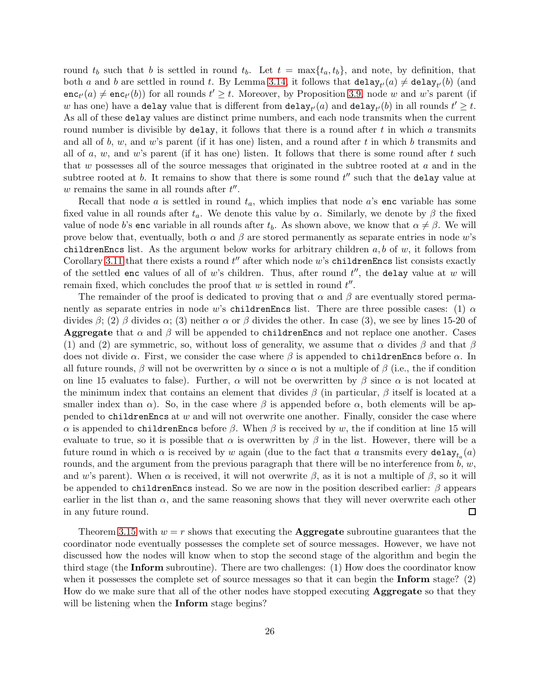round  $t_b$  such that b is settled in round  $t_b$ . Let  $t = \max\{t_a, t_b\}$ , and note, by definition, that both a and b are settled in round t. By Lemma [3.14,](#page-24-0) it follows that  $\texttt{delay}_{t'}(a) \neq \texttt{delay}_{t'}(b)$  (and  $enc_{t'}(a) \neq enc_{t'}(b)$  for all rounds  $t' \geq t$ . Moreover, by Proposition [3.9,](#page-22-1) node w and w's parent (if w has one) have a delay value that is different from  $\texttt{delay}_{t'}(a)$  and  $\texttt{delay}_{t'}(b)$  in all rounds  $t' \geq t$ . As all of these delay values are distinct prime numbers, and each node transmits when the current round number is divisible by delay, it follows that there is a round after  $t$  in which  $a$  transmits and all of b, w, and w's parent (if it has one) listen, and a round after t in which b transmits and all of  $a, w$ , and  $w$ 's parent (if it has one) listen. It follows that there is some round after  $t$  such that  $w$  possesses all of the source messages that originated in the subtree rooted at  $a$  and in the subtree rooted at  $b$ . It remains to show that there is some round  $t''$  such that the delay value at  $w$  remains the same in all rounds after  $t''$ .

Recall that node a is settled in round  $t_a$ , which implies that node a's enc variable has some fixed value in all rounds after  $t_a$ . We denote this value by  $\alpha$ . Similarly, we denote by  $\beta$  the fixed value of node b's enc variable in all rounds after  $t_b$ . As shown above, we know that  $\alpha \neq \beta$ . We will prove below that, eventually, both  $\alpha$  and  $\beta$  are stored permanently as separate entries in node w's childrenEncs list. As the argument below works for arbitrary children  $a, b$  of  $w$ , it follows from Corollary [3.11](#page-22-2) that there exists a round  $t''$  after which node  $w$ 's childrenEncs list consists exactly of the settled enc values of all of w's children. Thus, after round  $t''$ , the delay value at w will remain fixed, which concludes the proof that  $w$  is settled in round  $t''$ .

The remainder of the proof is dedicated to proving that  $\alpha$  and  $\beta$  are eventually stored permanently as separate entries in node w's childrenEncs list. There are three possible cases: (1)  $\alpha$ divides  $β$ ; (2)  $β$  divides  $α$ ; (3) neither  $α$  or  $β$  divides the other. In case (3), we see by lines 15-20 of **Aggregate** that  $\alpha$  and  $\beta$  will be appended to childrenEncs and not replace one another. Cases (1) and (2) are symmetric, so, without loss of generality, we assume that  $\alpha$  divides  $\beta$  and that  $\beta$ does not divide  $\alpha$ . First, we consider the case where  $\beta$  is appended to childrenEncs before  $\alpha$ . In all future rounds,  $\beta$  will not be overwritten by  $\alpha$  since  $\alpha$  is not a multiple of  $\beta$  (i.e., the if condition on line 15 evaluates to false). Further,  $\alpha$  will not be overwritten by  $\beta$  since  $\alpha$  is not located at the minimum index that contains an element that divides  $\beta$  (in particular,  $\beta$  itself is located at a smaller index than  $\alpha$ ). So, in the case where  $\beta$  is appended before  $\alpha$ , both elements will be appended to childrenEncs at  $w$  and will not overwrite one another. Finally, consider the case where α is appended to childrenEncs before β. When β is received by w, the if condition at line 15 will evaluate to true, so it is possible that  $\alpha$  is overwritten by  $\beta$  in the list. However, there will be a future round in which  $\alpha$  is received by  $w$  again (due to the fact that  $a$  transmits every  $\mathtt{delay}_{t_a}(a)$ rounds, and the argument from the previous paragraph that there will be no interference from  $b, w$ , and w's parent). When  $\alpha$  is received, it will not overwrite  $\beta$ , as it is not a multiple of  $\beta$ , so it will be appended to childrenEncs instead. So we are now in the position described earlier:  $\beta$  appears earlier in the list than  $\alpha$ , and the same reasoning shows that they will never overwrite each other in any future round. □

Theorem [3.15](#page-24-1) with  $w = r$  shows that executing the **Aggregate** subroutine guarantees that the coordinator node eventually possesses the complete set of source messages. However, we have not discussed how the nodes will know when to stop the second stage of the algorithm and begin the third stage (the Inform subroutine). There are two challenges: (1) How does the coordinator know when it possesses the complete set of source messages so that it can begin the Inform stage? (2) How do we make sure that all of the other nodes have stopped executing Aggregate so that they will be listening when the **Inform** stage begins?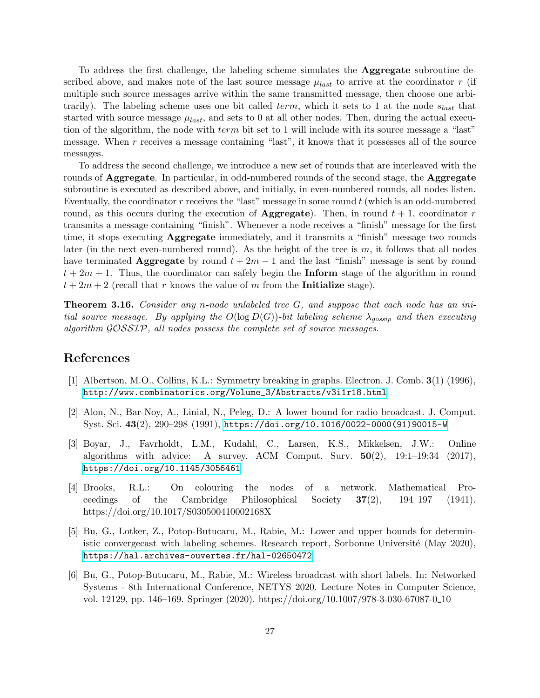To address the first challenge, the labeling scheme simulates the Aggregate subroutine described above, and makes note of the last source message  $\mu_{last}$  to arrive at the coordinator r (if multiple such source messages arrive within the same transmitted message, then choose one arbitrarily). The labeling scheme uses one bit called term, which it sets to 1 at the node  $s_{last}$  that started with source message  $\mu_{last}$ , and sets to 0 at all other nodes. Then, during the actual execution of the algorithm, the node with term bit set to 1 will include with its source message a "last" message. When r receives a message containing "last", it knows that it possesses all of the source messages.

To address the second challenge, we introduce a new set of rounds that are interleaved with the rounds of **Aggregate**. In particular, in odd-numbered rounds of the second stage, the **Aggregate** subroutine is executed as described above, and initially, in even-numbered rounds, all nodes listen. Eventually, the coordinator  $r$  receives the "last" message in some round  $t$  (which is an odd-numbered round, as this occurs during the execution of **Aggregate**). Then, in round  $t + 1$ , coordinator r transmits a message containing "finish". Whenever a node receives a "finish" message for the first time, it stops executing Aggregate immediately, and it transmits a "finish" message two rounds later (in the next even-numbered round). As the height of the tree is  $m$ , it follows that all nodes have terminated Aggregate by round  $t + 2m - 1$  and the last "finish" message is sent by round  $t + 2m + 1$ . Thus, the coordinator can safely begin the **Inform** stage of the algorithm in round  $t + 2m + 2$  (recall that r knows the value of m from the **Initialize** stage).

Theorem 3.16. *Consider any* n*-node unlabeled tree* G*, and suppose that each node has an initial source message. By applying the*  $O(\log D(G))$ -bit labeling scheme  $\lambda_{qossip}$  and then executing *algorithm* GOSSIP*, all nodes possess the complete set of source messages.*

# <span id="page-26-5"></span>References

- <span id="page-26-0"></span>[1] Albertson, M.O., Collins, K.L.: Symmetry breaking in graphs. Electron. J. Comb. 3(1) (1996), [http://www.combinatorics.org/Volume\\_3/Abstracts/v3i1r18.html](http://www.combinatorics.org/Volume_3/Abstracts/v3i1r18.html)
- [2] Alon, N., Bar-Noy, A., Linial, N., Peleg, D.: A lower bound for radio broadcast. J. Comput. Syst. Sci. 43(2), 290–298 (1991), [https://doi.org/10.1016/0022-0000\(91\)90015-W](https://doi.org/10.1016/0022-0000(91)90015-W)
- <span id="page-26-1"></span>[3] Boyar, J., Favrholdt, L.M., Kudahl, C., Larsen, K.S., Mikkelsen, J.W.: Online algorithms with advice: A survey. ACM Comput. Surv.  $50(2)$ ,  $19:1-19:34$  (2017), <https://doi.org/10.1145/3056461>
- <span id="page-26-4"></span>[4] Brooks, R.L.: On colouring the nodes of a network. Mathematical Proceedings of the Cambridge Philosophical Society  $37(2)$ ,  $194-197$  (1941). https://doi.org/10.1017/S030500410002168X
- <span id="page-26-3"></span>[5] Bu, G., Lotker, Z., Potop-Butucaru, M., Rabie, M.: Lower and upper bounds for deterministic convergecast with labeling schemes. Research report, Sorbonne Université (May 2020), <https://hal.archives-ouvertes.fr/hal-02650472>
- <span id="page-26-2"></span>[6] Bu, G., Potop-Butucaru, M., Rabie, M.: Wireless broadcast with short labels. In: Networked Systems - 8th International Conference, NETYS 2020. Lecture Notes in Computer Science, vol. 12129, pp. 146–169. Springer (2020). https://doi.org/10.1007/978-3-030-67087-0 10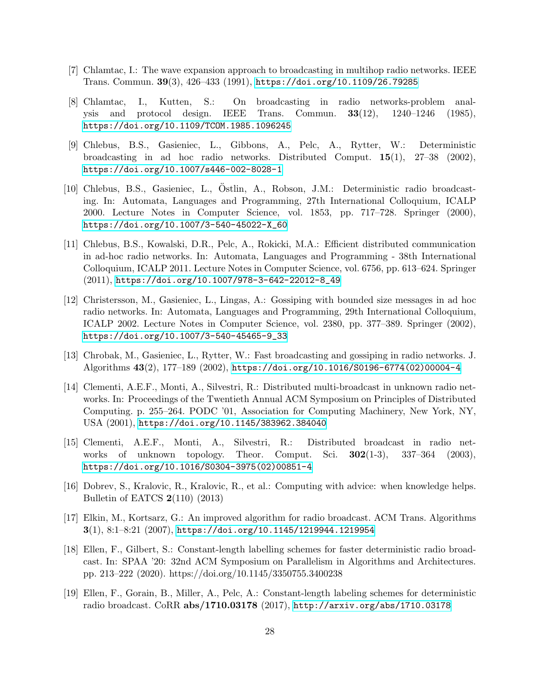- <span id="page-27-1"></span><span id="page-27-0"></span>[7] Chlamtac, I.: The wave expansion approach to broadcasting in multihop radio networks. IEEE Trans. Commun. 39(3), 426–433 (1991), <https://doi.org/10.1109/26.79285>
- [8] Chlamtac, I., Kutten, S.: On broadcasting in radio networks-problem analysis and protocol design. IEEE Trans. Commun. 33(12), 1240–1246 (1985), <https://doi.org/10.1109/TCOM.1985.1096245>
- <span id="page-27-3"></span>[9] Chlebus, B.S., Gasieniec, L., Gibbons, A., Pelc, A., Rytter, W.: Deterministic broadcasting in ad hoc radio networks. Distributed Comput. 15(1), 27–38 (2002), <https://doi.org/10.1007/s446-002-8028-1>
- <span id="page-27-4"></span>[10] Chlebus, B.S., Gasieniec, L., Ostlin, A., Robson, J.M.: Deterministic radio broadcast- ¨ ing. In: Automata, Languages and Programming, 27th International Colloquium, ICALP 2000. Lecture Notes in Computer Science, vol. 1853, pp. 717–728. Springer (2000), [https://doi.org/10.1007/3-540-45022-X\\_60](https://doi.org/10.1007/3-540-45022-X_60)
- <span id="page-27-8"></span>[11] Chlebus, B.S., Kowalski, D.R., Pelc, A., Rokicki, M.A.: Efficient distributed communication in ad-hoc radio networks. In: Automata, Languages and Programming - 38th International Colloquium, ICALP 2011. Lecture Notes in Computer Science, vol. 6756, pp. 613–624. Springer (2011), [https://doi.org/10.1007/978-3-642-22012-8\\_49](https://doi.org/10.1007/978-3-642-22012-8_49)
- <span id="page-27-7"></span>[12] Christersson, M., Gasieniec, L., Lingas, A.: Gossiping with bounded size messages in ad hoc radio networks. In: Automata, Languages and Programming, 29th International Colloquium, ICALP 2002. Lecture Notes in Computer Science, vol. 2380, pp. 377–389. Springer (2002), [https://doi.org/10.1007/3-540-45465-9\\_33](https://doi.org/10.1007/3-540-45465-9_33)
- <span id="page-27-5"></span>[13] Chrobak, M., Gasieniec, L., Rytter, W.: Fast broadcasting and gossiping in radio networks. J. Algorithms 43(2), 177–189 (2002), [https://doi.org/10.1016/S0196-6774\(02\)00004-4](https://doi.org/10.1016/S0196-6774(02)00004-4)
- <span id="page-27-9"></span>[14] Clementi, A.E.F., Monti, A., Silvestri, R.: Distributed multi-broadcast in unknown radio networks. In: Proceedings of the Twentieth Annual ACM Symposium on Principles of Distributed Computing. p. 255–264. PODC '01, Association for Computing Machinery, New York, NY, USA (2001), <https://doi.org/10.1145/383962.384040>
- <span id="page-27-6"></span>[15] Clementi, A.E.F., Monti, A., Silvestri, R.: Distributed broadcast in radio networks of unknown topology. Theor. Comput. Sci.  $302(1-3)$ ,  $337-364$  (2003), [https://doi.org/10.1016/S0304-3975\(02\)00851-4](https://doi.org/10.1016/S0304-3975(02)00851-4)
- <span id="page-27-10"></span>[16] Dobrev, S., Kralovic, R., Kralovic, R., et al.: Computing with advice: when knowledge helps. Bulletin of EATCS 2(110) (2013)
- <span id="page-27-2"></span>[17] Elkin, M., Kortsarz, G.: An improved algorithm for radio broadcast. ACM Trans. Algorithms  $3(1), 8:1-8:21 (2007),$  <https://doi.org/10.1145/1219944.1219954>
- <span id="page-27-12"></span>[18] Ellen, F., Gilbert, S.: Constant-length labelling schemes for faster deterministic radio broadcast. In: SPAA '20: 32nd ACM Symposium on Parallelism in Algorithms and Architectures. pp. 213–222 (2020). https://doi.org/10.1145/3350755.3400238
- <span id="page-27-11"></span>[19] Ellen, F., Gorain, B., Miller, A., Pelc, A.: Constant-length labeling schemes for deterministic radio broadcast. CoRR abs/1710.03178 (2017), <http://arxiv.org/abs/1710.03178>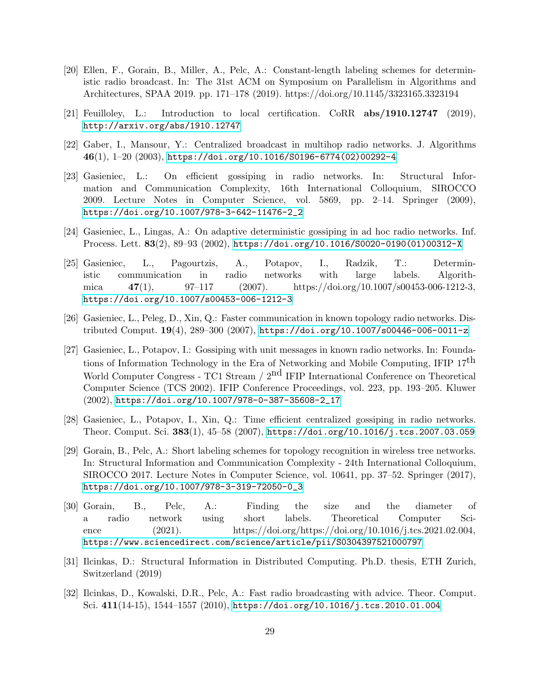- <span id="page-28-0"></span>[20] Ellen, F., Gorain, B., Miller, A., Pelc, A.: Constant-length labeling schemes for deterministic radio broadcast. In: The 31st ACM on Symposium on Parallelism in Algorithms and Architectures, SPAA 2019. pp. 171–178 (2019). https://doi.org/10.1145/3323165.3323194
- <span id="page-28-8"></span><span id="page-28-1"></span>[21] Feuilloley, L.: Introduction to local certification. CoRR abs/1910.12747 (2019), <http://arxiv.org/abs/1910.12747>
- <span id="page-28-5"></span>[22] Gaber, I., Mansour, Y.: Centralized broadcast in multihop radio networks. J. Algorithms 46(1), 1–20 (2003), [https://doi.org/10.1016/S0196-6774\(02\)00292-4](https://doi.org/10.1016/S0196-6774(02)00292-4)
- [23] Gasieniec, L.: On efficient gossiping in radio networks. In: Structural Information and Communication Complexity, 16th International Colloquium, SIROCCO 2009. Lecture Notes in Computer Science, vol. 5869, pp. 2–14. Springer (2009), [https://doi.org/10.1007/978-3-642-11476-2\\_2](https://doi.org/10.1007/978-3-642-11476-2_2)
- <span id="page-28-7"></span><span id="page-28-6"></span>[24] Gasieniec, L., Lingas, A.: On adaptive deterministic gossiping in ad hoc radio networks. Inf. Process. Lett. 83(2), 89–93 (2002), [https://doi.org/10.1016/S0020-0190\(01\)00312-X](https://doi.org/10.1016/S0020-0190(01)00312-X)
- [25] Gasieniec, L., Pagourtzis, A., Potapov, I., Radzik, T.: Deterministic communication in radio networks with large labels. Algorithmica  $47(1)$ ,  $97-117$   $(2007)$ . https://doi.org/10.1007/s00453-006-1212-3, <https://doi.org/10.1007/s00453-006-1212-3>
- <span id="page-28-2"></span>[26] Gasieniec, L., Peleg, D., Xin, Q.: Faster communication in known topology radio networks. Distributed Comput. 19(4), 289–300 (2007), <https://doi.org/10.1007/s00446-006-0011-z>
- <span id="page-28-3"></span>[27] Gasieniec, L., Potapov, I.: Gossiping with unit messages in known radio networks. In: Foundations of Information Technology in the Era of Networking and Mobile Computing, IFIP  $17<sup>th</sup>$ World Computer Congress - TC1 Stream / 2<sup>nd</sup> IFIP International Conference on Theoretical Computer Science (TCS 2002). IFIP Conference Proceedings, vol. 223, pp. 193–205. Kluwer (2002), [https://doi.org/10.1007/978-0-387-35608-2\\_17](https://doi.org/10.1007/978-0-387-35608-2_17)
- <span id="page-28-10"></span><span id="page-28-4"></span>[28] Gasieniec, L., Potapov, I., Xin, Q.: Time efficient centralized gossiping in radio networks. Theor. Comput. Sci. 383(1), 45–58 (2007), <https://doi.org/10.1016/j.tcs.2007.03.059>
- [29] Gorain, B., Pelc, A.: Short labeling schemes for topology recognition in wireless tree networks. In: Structural Information and Communication Complexity - 24th International Colloquium, SIROCCO 2017. Lecture Notes in Computer Science, vol. 10641, pp. 37–52. Springer (2017), [https://doi.org/10.1007/978-3-319-72050-0\\_3](https://doi.org/10.1007/978-3-319-72050-0_3)
- <span id="page-28-11"></span>[30] Gorain, B., Pelc, A.: Finding the size and the diameter of a radio network using short labels. Theoretical Computer Science (2021). https://doi.org/https://doi.org/10.1016/j.tcs.2021.02.004, <https://www.sciencedirect.com/science/article/pii/S0304397521000797>
- <span id="page-28-9"></span>[31] Ilcinkas, D.: Structural Information in Distributed Computing. Ph.D. thesis, ETH Zurich, Switzerland (2019)
- <span id="page-28-12"></span>[32] Ilcinkas, D., Kowalski, D.R., Pelc, A.: Fast radio broadcasting with advice. Theor. Comput. Sci. 411(14-15), 1544–1557 (2010), <https://doi.org/10.1016/j.tcs.2010.01.004>